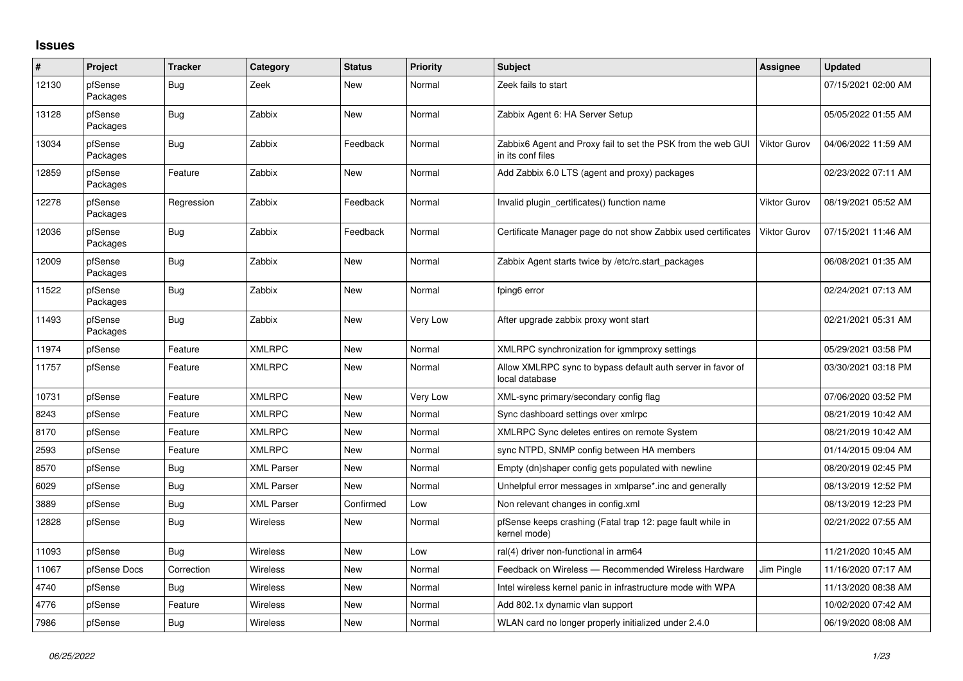## **Issues**

| #     | Project             | <b>Tracker</b> | Category          | <b>Status</b> | <b>Priority</b> | <b>Subject</b>                                                                    | Assignee            | <b>Updated</b>      |
|-------|---------------------|----------------|-------------------|---------------|-----------------|-----------------------------------------------------------------------------------|---------------------|---------------------|
| 12130 | pfSense<br>Packages | Bug            | Zeek              | New           | Normal          | Zeek fails to start                                                               |                     | 07/15/2021 02:00 AM |
| 13128 | pfSense<br>Packages | Bug            | Zabbix            | New           | Normal          | Zabbix Agent 6: HA Server Setup                                                   |                     | 05/05/2022 01:55 AM |
| 13034 | pfSense<br>Packages | Bug            | Zabbix            | Feedback      | Normal          | Zabbix6 Agent and Proxy fail to set the PSK from the web GUI<br>in its conf files | <b>Viktor Gurov</b> | 04/06/2022 11:59 AM |
| 12859 | pfSense<br>Packages | Feature        | Zabbix            | New           | Normal          | Add Zabbix 6.0 LTS (agent and proxy) packages                                     |                     | 02/23/2022 07:11 AM |
| 12278 | pfSense<br>Packages | Regression     | Zabbix            | Feedback      | Normal          | Invalid plugin certificates() function name                                       | <b>Viktor Gurov</b> | 08/19/2021 05:52 AM |
| 12036 | pfSense<br>Packages | Bug            | Zabbix            | Feedback      | Normal          | Certificate Manager page do not show Zabbix used certificates                     | Viktor Gurov        | 07/15/2021 11:46 AM |
| 12009 | pfSense<br>Packages | Bug            | Zabbix            | New           | Normal          | Zabbix Agent starts twice by /etc/rc.start_packages                               |                     | 06/08/2021 01:35 AM |
| 11522 | pfSense<br>Packages | Bug            | Zabbix            | New           | Normal          | fping6 error                                                                      |                     | 02/24/2021 07:13 AM |
| 11493 | pfSense<br>Packages | Bug            | Zabbix            | New           | Very Low        | After upgrade zabbix proxy wont start                                             |                     | 02/21/2021 05:31 AM |
| 11974 | pfSense             | Feature        | <b>XMLRPC</b>     | New           | Normal          | XMLRPC synchronization for igmmproxy settings                                     |                     | 05/29/2021 03:58 PM |
| 11757 | pfSense             | Feature        | <b>XMLRPC</b>     | New           | Normal          | Allow XMLRPC sync to bypass default auth server in favor of<br>local database     |                     | 03/30/2021 03:18 PM |
| 10731 | pfSense             | Feature        | <b>XMLRPC</b>     | New           | Very Low        | XML-sync primary/secondary config flag                                            |                     | 07/06/2020 03:52 PM |
| 8243  | pfSense             | Feature        | <b>XMLRPC</b>     | New           | Normal          | Sync dashboard settings over xmlrpc                                               |                     | 08/21/2019 10:42 AM |
| 8170  | pfSense             | Feature        | <b>XMLRPC</b>     | <b>New</b>    | Normal          | XMLRPC Sync deletes entires on remote System                                      |                     | 08/21/2019 10:42 AM |
| 2593  | pfSense             | Feature        | <b>XMLRPC</b>     | New           | Normal          | sync NTPD, SNMP config between HA members                                         |                     | 01/14/2015 09:04 AM |
| 8570  | pfSense             | Bug            | <b>XML Parser</b> | New           | Normal          | Empty (dn)shaper config gets populated with newline                               |                     | 08/20/2019 02:45 PM |
| 6029  | pfSense             | Bug            | <b>XML Parser</b> | New           | Normal          | Unhelpful error messages in xmlparse*.inc and generally                           |                     | 08/13/2019 12:52 PM |
| 3889  | pfSense             | Bug            | <b>XML Parser</b> | Confirmed     | Low             | Non relevant changes in config.xml                                                |                     | 08/13/2019 12:23 PM |
| 12828 | pfSense             | Bug            | <b>Wireless</b>   | <b>New</b>    | Normal          | pfSense keeps crashing (Fatal trap 12: page fault while in<br>kernel mode)        |                     | 02/21/2022 07:55 AM |
| 11093 | pfSense             | <b>Bug</b>     | <b>Wireless</b>   | <b>New</b>    | Low             | ral(4) driver non-functional in arm64                                             |                     | 11/21/2020 10:45 AM |
| 11067 | pfSense Docs        | Correction     | Wireless          | New           | Normal          | Feedback on Wireless - Recommended Wireless Hardware                              | Jim Pingle          | 11/16/2020 07:17 AM |
| 4740  | pfSense             | Bug            | <b>Wireless</b>   | New           | Normal          | Intel wireless kernel panic in infrastructure mode with WPA                       |                     | 11/13/2020 08:38 AM |
| 4776  | pfSense             | Feature        | <b>Wireless</b>   | <b>New</b>    | Normal          | Add 802.1x dynamic vlan support                                                   |                     | 10/02/2020 07:42 AM |
| 7986  | pfSense             | Bug            | <b>Wireless</b>   | <b>New</b>    | Normal          | WLAN card no longer properly initialized under 2.4.0                              |                     | 06/19/2020 08:08 AM |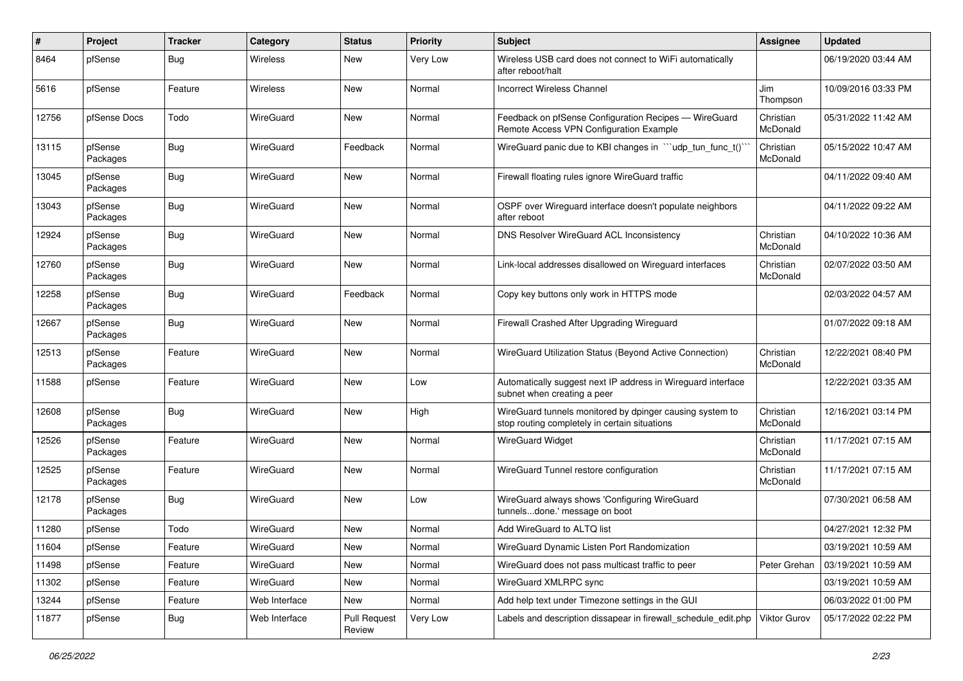| #     | Project             | <b>Tracker</b> | Category         | <b>Status</b>                 | <b>Priority</b> | <b>Subject</b>                                                                                            | <b>Assignee</b>       | <b>Updated</b>      |
|-------|---------------------|----------------|------------------|-------------------------------|-----------------|-----------------------------------------------------------------------------------------------------------|-----------------------|---------------------|
| 8464  | pfSense             | <b>Bug</b>     | Wireless         | New                           | Very Low        | Wireless USB card does not connect to WiFi automatically<br>after reboot/halt                             |                       | 06/19/2020 03:44 AM |
| 5616  | pfSense             | Feature        | Wireless         | New                           | Normal          | <b>Incorrect Wireless Channel</b>                                                                         | Jim<br>Thompson       | 10/09/2016 03:33 PM |
| 12756 | pfSense Docs        | Todo           | <b>WireGuard</b> | New                           | Normal          | Feedback on pfSense Configuration Recipes - WireGuard<br>Remote Access VPN Configuration Example          | Christian<br>McDonald | 05/31/2022 11:42 AM |
| 13115 | pfSense<br>Packages | <b>Bug</b>     | <b>WireGuard</b> | Feedback                      | Normal          | WireGuard panic due to KBI changes in "'udp_tun_func_t()'                                                 | Christian<br>McDonald | 05/15/2022 10:47 AM |
| 13045 | pfSense<br>Packages | <b>Bug</b>     | <b>WireGuard</b> | New                           | Normal          | Firewall floating rules ignore WireGuard traffic                                                          |                       | 04/11/2022 09:40 AM |
| 13043 | pfSense<br>Packages | <b>Bug</b>     | <b>WireGuard</b> | New                           | Normal          | OSPF over Wireguard interface doesn't populate neighbors<br>after reboot                                  |                       | 04/11/2022 09:22 AM |
| 12924 | pfSense<br>Packages | <b>Bug</b>     | <b>WireGuard</b> | New                           | Normal          | DNS Resolver WireGuard ACL Inconsistency                                                                  | Christian<br>McDonald | 04/10/2022 10:36 AM |
| 12760 | pfSense<br>Packages | <b>Bug</b>     | <b>WireGuard</b> | New                           | Normal          | Link-local addresses disallowed on Wireguard interfaces                                                   | Christian<br>McDonald | 02/07/2022 03:50 AM |
| 12258 | pfSense<br>Packages | <b>Bug</b>     | WireGuard        | Feedback                      | Normal          | Copy key buttons only work in HTTPS mode                                                                  |                       | 02/03/2022 04:57 AM |
| 12667 | pfSense<br>Packages | Bug            | WireGuard        | New                           | Normal          | Firewall Crashed After Upgrading Wireguard                                                                |                       | 01/07/2022 09:18 AM |
| 12513 | pfSense<br>Packages | Feature        | WireGuard        | New                           | Normal          | WireGuard Utilization Status (Beyond Active Connection)                                                   | Christian<br>McDonald | 12/22/2021 08:40 PM |
| 11588 | pfSense             | Feature        | <b>WireGuard</b> | New                           | Low             | Automatically suggest next IP address in Wireguard interface<br>subnet when creating a peer               |                       | 12/22/2021 03:35 AM |
| 12608 | pfSense<br>Packages | Bug            | WireGuard        | New                           | High            | WireGuard tunnels monitored by dpinger causing system to<br>stop routing completely in certain situations | Christian<br>McDonald | 12/16/2021 03:14 PM |
| 12526 | pfSense<br>Packages | Feature        | <b>WireGuard</b> | New                           | Normal          | <b>WireGuard Widget</b>                                                                                   | Christian<br>McDonald | 11/17/2021 07:15 AM |
| 12525 | pfSense<br>Packages | Feature        | <b>WireGuard</b> | New                           | Normal          | WireGuard Tunnel restore configuration                                                                    | Christian<br>McDonald | 11/17/2021 07:15 AM |
| 12178 | pfSense<br>Packages | Bug            | <b>WireGuard</b> | New                           | Low             | WireGuard always shows 'Configuring WireGuard<br>tunnelsdone.' message on boot                            |                       | 07/30/2021 06:58 AM |
| 11280 | pfSense             | Todo           | WireGuard        | New                           | Normal          | Add WireGuard to ALTQ list                                                                                |                       | 04/27/2021 12:32 PM |
| 11604 | pfSense             | Feature        | WireGuard        | New                           | Normal          | WireGuard Dynamic Listen Port Randomization                                                               |                       | 03/19/2021 10:59 AM |
| 11498 | pfSense             | Feature        | WireGuard        | New                           | Normal          | WireGuard does not pass multicast traffic to peer                                                         | Peter Grehan          | 03/19/2021 10:59 AM |
| 11302 | pfSense             | Feature        | WireGuard        | New                           | Normal          | WireGuard XMLRPC sync                                                                                     |                       | 03/19/2021 10:59 AM |
| 13244 | pfSense             | Feature        | Web Interface    | New                           | Normal          | Add help text under Timezone settings in the GUI                                                          |                       | 06/03/2022 01:00 PM |
| 11877 | pfSense             | Bug            | Web Interface    | <b>Pull Request</b><br>Review | Very Low        | Labels and description dissapear in firewall_schedule_edit.php                                            | <b>Viktor Gurov</b>   | 05/17/2022 02:22 PM |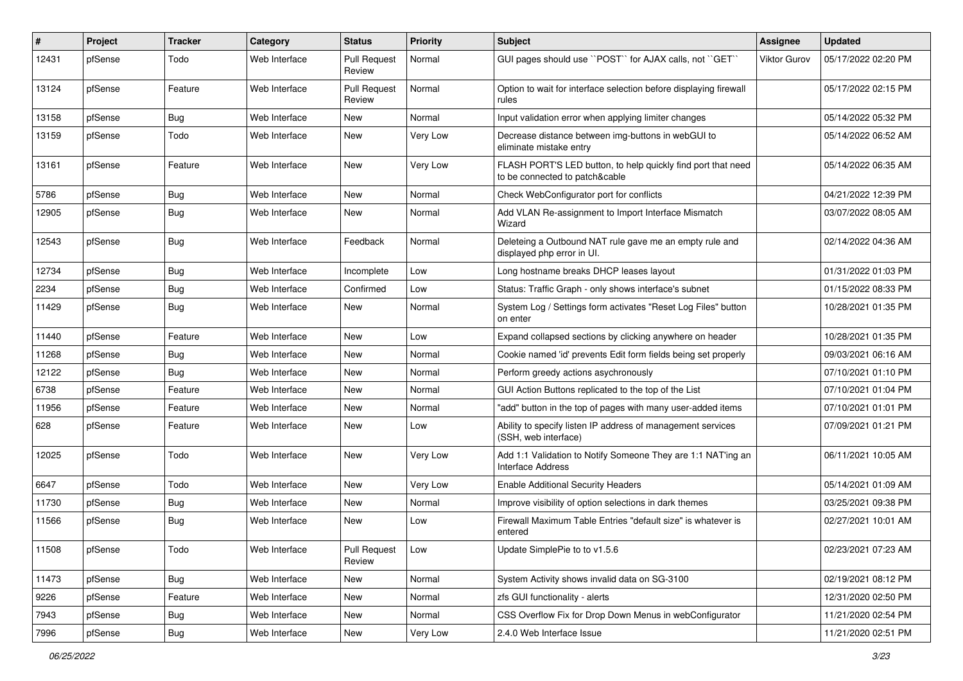| ∦     | Project | <b>Tracker</b> | Category      | <b>Status</b>                 | <b>Priority</b> | <b>Subject</b>                                                                                 | <b>Assignee</b> | <b>Updated</b>      |
|-------|---------|----------------|---------------|-------------------------------|-----------------|------------------------------------------------------------------------------------------------|-----------------|---------------------|
| 12431 | pfSense | Todo           | Web Interface | <b>Pull Request</b><br>Review | Normal          | GUI pages should use "POST" for AJAX calls, not "GET"                                          | Viktor Gurov    | 05/17/2022 02:20 PM |
| 13124 | pfSense | Feature        | Web Interface | <b>Pull Request</b><br>Review | Normal          | Option to wait for interface selection before displaying firewall<br>rules                     |                 | 05/17/2022 02:15 PM |
| 13158 | pfSense | Bug            | Web Interface | <b>New</b>                    | Normal          | Input validation error when applying limiter changes                                           |                 | 05/14/2022 05:32 PM |
| 13159 | pfSense | Todo           | Web Interface | New                           | Very Low        | Decrease distance between img-buttons in webGUI to<br>eliminate mistake entry                  |                 | 05/14/2022 06:52 AM |
| 13161 | pfSense | Feature        | Web Interface | <b>New</b>                    | Very Low        | FLASH PORT'S LED button, to help quickly find port that need<br>to be connected to patch&cable |                 | 05/14/2022 06:35 AM |
| 5786  | pfSense | Bug            | Web Interface | <b>New</b>                    | Normal          | Check WebConfigurator port for conflicts                                                       |                 | 04/21/2022 12:39 PM |
| 12905 | pfSense | Bug            | Web Interface | <b>New</b>                    | Normal          | Add VLAN Re-assignment to Import Interface Mismatch<br>Wizard                                  |                 | 03/07/2022 08:05 AM |
| 12543 | pfSense | Bug            | Web Interface | Feedback                      | Normal          | Deleteing a Outbound NAT rule gave me an empty rule and<br>displayed php error in UI.          |                 | 02/14/2022 04:36 AM |
| 12734 | pfSense | Bug            | Web Interface | Incomplete                    | Low             | Long hostname breaks DHCP leases layout                                                        |                 | 01/31/2022 01:03 PM |
| 2234  | pfSense | Bug            | Web Interface | Confirmed                     | Low             | Status: Traffic Graph - only shows interface's subnet                                          |                 | 01/15/2022 08:33 PM |
| 11429 | pfSense | Bug            | Web Interface | New                           | Normal          | System Log / Settings form activates "Reset Log Files" button<br>on enter                      |                 | 10/28/2021 01:35 PM |
| 11440 | pfSense | Feature        | Web Interface | New                           | Low             | Expand collapsed sections by clicking anywhere on header                                       |                 | 10/28/2021 01:35 PM |
| 11268 | pfSense | Bug            | Web Interface | New                           | Normal          | Cookie named 'id' prevents Edit form fields being set properly                                 |                 | 09/03/2021 06:16 AM |
| 12122 | pfSense | Bug            | Web Interface | <b>New</b>                    | Normal          | Perform greedy actions asychronously                                                           |                 | 07/10/2021 01:10 PM |
| 6738  | pfSense | Feature        | Web Interface | New                           | Normal          | GUI Action Buttons replicated to the top of the List                                           |                 | 07/10/2021 01:04 PM |
| 11956 | pfSense | Feature        | Web Interface | New                           | Normal          | "add" button in the top of pages with many user-added items                                    |                 | 07/10/2021 01:01 PM |
| 628   | pfSense | Feature        | Web Interface | <b>New</b>                    | Low             | Ability to specify listen IP address of management services<br>(SSH, web interface)            |                 | 07/09/2021 01:21 PM |
| 12025 | pfSense | Todo           | Web Interface | New                           | Very Low        | Add 1:1 Validation to Notify Someone They are 1:1 NAT'ing an<br>Interface Address              |                 | 06/11/2021 10:05 AM |
| 6647  | pfSense | Todo           | Web Interface | New                           | Very Low        | <b>Enable Additional Security Headers</b>                                                      |                 | 05/14/2021 01:09 AM |
| 11730 | pfSense | <b>Bug</b>     | Web Interface | New                           | Normal          | Improve visibility of option selections in dark themes                                         |                 | 03/25/2021 09:38 PM |
| 11566 | pfSense | Bug            | Web Interface | New                           | Low             | Firewall Maximum Table Entries "default size" is whatever is<br>entered                        |                 | 02/27/2021 10:01 AM |
| 11508 | pfSense | Todo           | Web Interface | Pull Request<br>Review        | Low             | Update SimplePie to to v1.5.6                                                                  |                 | 02/23/2021 07:23 AM |
| 11473 | pfSense | Bug            | Web Interface | New                           | Normal          | System Activity shows invalid data on SG-3100                                                  |                 | 02/19/2021 08:12 PM |
| 9226  | pfSense | Feature        | Web Interface | New                           | Normal          | zfs GUI functionality - alerts                                                                 |                 | 12/31/2020 02:50 PM |
| 7943  | pfSense | <b>Bug</b>     | Web Interface | New                           | Normal          | CSS Overflow Fix for Drop Down Menus in webConfigurator                                        |                 | 11/21/2020 02:54 PM |
| 7996  | pfSense | Bug            | Web Interface | New                           | Very Low        | 2.4.0 Web Interface Issue                                                                      |                 | 11/21/2020 02:51 PM |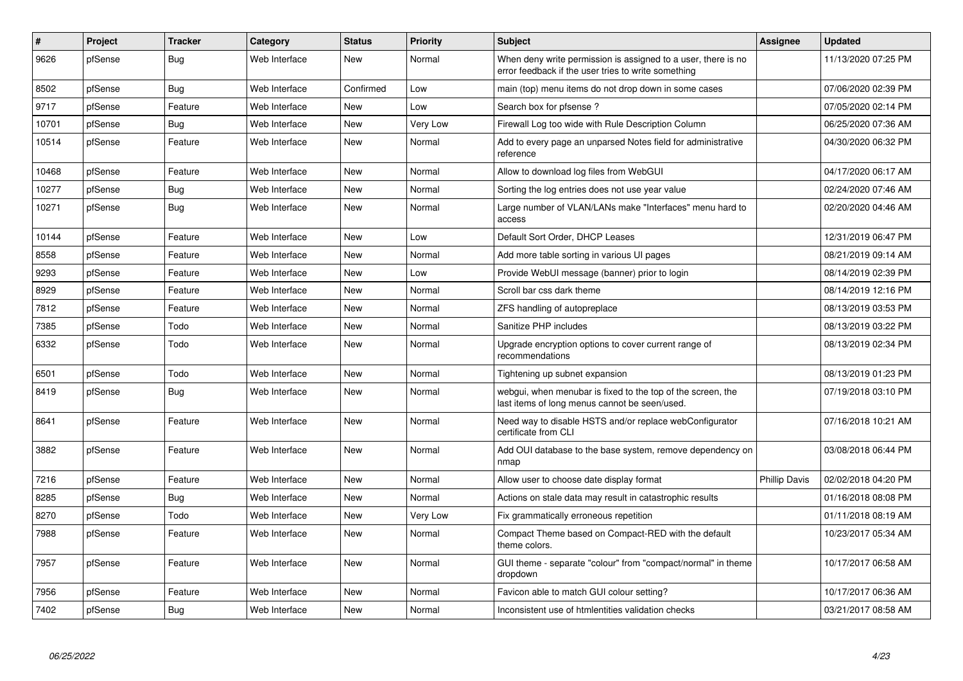| #     | Project | <b>Tracker</b> | Category      | <b>Status</b> | <b>Priority</b> | <b>Subject</b>                                                                                                       | Assignee             | <b>Updated</b>      |
|-------|---------|----------------|---------------|---------------|-----------------|----------------------------------------------------------------------------------------------------------------------|----------------------|---------------------|
| 9626  | pfSense | Bug            | Web Interface | <b>New</b>    | Normal          | When deny write permission is assigned to a user, there is no<br>error feedback if the user tries to write something |                      | 11/13/2020 07:25 PM |
| 8502  | pfSense | Bug            | Web Interface | Confirmed     | Low             | main (top) menu items do not drop down in some cases                                                                 |                      | 07/06/2020 02:39 PM |
| 9717  | pfSense | Feature        | Web Interface | <b>New</b>    | Low             | Search box for pfsense?                                                                                              |                      | 07/05/2020 02:14 PM |
| 10701 | pfSense | Bug            | Web Interface | New           | Very Low        | Firewall Log too wide with Rule Description Column                                                                   |                      | 06/25/2020 07:36 AM |
| 10514 | pfSense | Feature        | Web Interface | <b>New</b>    | Normal          | Add to every page an unparsed Notes field for administrative<br>reference                                            |                      | 04/30/2020 06:32 PM |
| 10468 | pfSense | Feature        | Web Interface | <b>New</b>    | Normal          | Allow to download log files from WebGUI                                                                              |                      | 04/17/2020 06:17 AM |
| 10277 | pfSense | <b>Bug</b>     | Web Interface | <b>New</b>    | Normal          | Sorting the log entries does not use year value                                                                      |                      | 02/24/2020 07:46 AM |
| 10271 | pfSense | <b>Bug</b>     | Web Interface | New           | Normal          | Large number of VLAN/LANs make "Interfaces" menu hard to<br>access                                                   |                      | 02/20/2020 04:46 AM |
| 10144 | pfSense | Feature        | Web Interface | New           | Low             | Default Sort Order, DHCP Leases                                                                                      |                      | 12/31/2019 06:47 PM |
| 8558  | pfSense | Feature        | Web Interface | <b>New</b>    | Normal          | Add more table sorting in various UI pages                                                                           |                      | 08/21/2019 09:14 AM |
| 9293  | pfSense | Feature        | Web Interface | <b>New</b>    | Low             | Provide WebUI message (banner) prior to login                                                                        |                      | 08/14/2019 02:39 PM |
| 8929  | pfSense | Feature        | Web Interface | <b>New</b>    | Normal          | Scroll bar css dark theme                                                                                            |                      | 08/14/2019 12:16 PM |
| 7812  | pfSense | Feature        | Web Interface | New           | Normal          | ZFS handling of autopreplace                                                                                         |                      | 08/13/2019 03:53 PM |
| 7385  | pfSense | Todo           | Web Interface | <b>New</b>    | Normal          | Sanitize PHP includes                                                                                                |                      | 08/13/2019 03:22 PM |
| 6332  | pfSense | Todo           | Web Interface | New           | Normal          | Upgrade encryption options to cover current range of<br>recommendations                                              |                      | 08/13/2019 02:34 PM |
| 6501  | pfSense | Todo           | Web Interface | <b>New</b>    | Normal          | Tightening up subnet expansion                                                                                       |                      | 08/13/2019 01:23 PM |
| 8419  | pfSense | Bug            | Web Interface | New           | Normal          | webgui, when menubar is fixed to the top of the screen, the<br>last items of long menus cannot be seen/used.         |                      | 07/19/2018 03:10 PM |
| 8641  | pfSense | Feature        | Web Interface | New           | Normal          | Need way to disable HSTS and/or replace webConfigurator<br>certificate from CLI                                      |                      | 07/16/2018 10:21 AM |
| 3882  | pfSense | Feature        | Web Interface | <b>New</b>    | Normal          | Add OUI database to the base system, remove dependency on<br>nmap                                                    |                      | 03/08/2018 06:44 PM |
| 7216  | pfSense | Feature        | Web Interface | <b>New</b>    | Normal          | Allow user to choose date display format                                                                             | <b>Phillip Davis</b> | 02/02/2018 04:20 PM |
| 8285  | pfSense | Bug            | Web Interface | New           | Normal          | Actions on stale data may result in catastrophic results                                                             |                      | 01/16/2018 08:08 PM |
| 8270  | pfSense | Todo           | Web Interface | <b>New</b>    | Very Low        | Fix grammatically erroneous repetition                                                                               |                      | 01/11/2018 08:19 AM |
| 7988  | pfSense | Feature        | Web Interface | <b>New</b>    | Normal          | Compact Theme based on Compact-RED with the default<br>theme colors.                                                 |                      | 10/23/2017 05:34 AM |
| 7957  | pfSense | Feature        | Web Interface | <b>New</b>    | Normal          | GUI theme - separate "colour" from "compact/normal" in theme<br>dropdown                                             |                      | 10/17/2017 06:58 AM |
| 7956  | pfSense | Feature        | Web Interface | New           | Normal          | Favicon able to match GUI colour setting?                                                                            |                      | 10/17/2017 06:36 AM |
| 7402  | pfSense | Bug            | Web Interface | <b>New</b>    | Normal          | Inconsistent use of htmlentities validation checks                                                                   |                      | 03/21/2017 08:58 AM |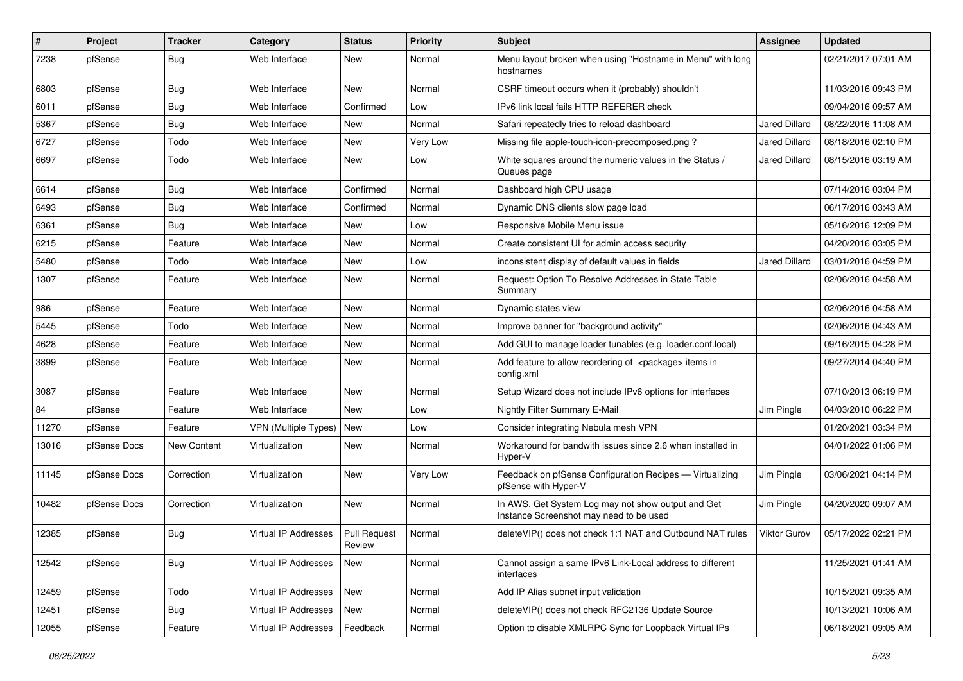| ∦     | Project      | <b>Tracker</b> | Category             | <b>Status</b>          | <b>Priority</b> | <b>Subject</b>                                                                                | <b>Assignee</b>      | <b>Updated</b>      |
|-------|--------------|----------------|----------------------|------------------------|-----------------|-----------------------------------------------------------------------------------------------|----------------------|---------------------|
| 7238  | pfSense      | Bug            | Web Interface        | New                    | Normal          | Menu layout broken when using "Hostname in Menu" with long<br>hostnames                       |                      | 02/21/2017 07:01 AM |
| 6803  | pfSense      | Bug            | Web Interface        | New                    | Normal          | CSRF timeout occurs when it (probably) shouldn't                                              |                      | 11/03/2016 09:43 PM |
| 6011  | pfSense      | <b>Bug</b>     | Web Interface        | Confirmed              | Low             | IPv6 link local fails HTTP REFERER check                                                      |                      | 09/04/2016 09:57 AM |
| 5367  | pfSense      | Bug            | Web Interface        | <b>New</b>             | Normal          | Safari repeatedly tries to reload dashboard                                                   | <b>Jared Dillard</b> | 08/22/2016 11:08 AM |
| 6727  | pfSense      | Todo           | Web Interface        | New                    | Very Low        | Missing file apple-touch-icon-precomposed.png?                                                | Jared Dillard        | 08/18/2016 02:10 PM |
| 6697  | pfSense      | Todo           | Web Interface        | New                    | Low             | White squares around the numeric values in the Status /<br>Queues page                        | Jared Dillard        | 08/15/2016 03:19 AM |
| 6614  | pfSense      | Bug            | Web Interface        | Confirmed              | Normal          | Dashboard high CPU usage                                                                      |                      | 07/14/2016 03:04 PM |
| 6493  | pfSense      | Bug            | Web Interface        | Confirmed              | Normal          | Dynamic DNS clients slow page load                                                            |                      | 06/17/2016 03:43 AM |
| 6361  | pfSense      | Bug            | Web Interface        | New                    | Low             | Responsive Mobile Menu issue                                                                  |                      | 05/16/2016 12:09 PM |
| 6215  | pfSense      | Feature        | Web Interface        | New                    | Normal          | Create consistent UI for admin access security                                                |                      | 04/20/2016 03:05 PM |
| 5480  | pfSense      | Todo           | Web Interface        | New                    | Low             | inconsistent display of default values in fields                                              | <b>Jared Dillard</b> | 03/01/2016 04:59 PM |
| 1307  | pfSense      | Feature        | Web Interface        | New                    | Normal          | Request: Option To Resolve Addresses in State Table<br>Summary                                |                      | 02/06/2016 04:58 AM |
| 986   | pfSense      | Feature        | Web Interface        | <b>New</b>             | Normal          | Dynamic states view                                                                           |                      | 02/06/2016 04:58 AM |
| 5445  | pfSense      | Todo           | Web Interface        | New                    | Normal          | Improve banner for "background activity"                                                      |                      | 02/06/2016 04:43 AM |
| 4628  | pfSense      | Feature        | Web Interface        | New                    | Normal          | Add GUI to manage loader tunables (e.g. loader.conf.local)                                    |                      | 09/16/2015 04:28 PM |
| 3899  | pfSense      | Feature        | Web Interface        | New                    | Normal          | Add feature to allow reordering of <package> items in<br/>config.xml</package>                |                      | 09/27/2014 04:40 PM |
| 3087  | pfSense      | Feature        | Web Interface        | <b>New</b>             | Normal          | Setup Wizard does not include IPv6 options for interfaces                                     |                      | 07/10/2013 06:19 PM |
| 84    | pfSense      | Feature        | Web Interface        | New                    | Low             | Nightly Filter Summary E-Mail                                                                 | Jim Pingle           | 04/03/2010 06:22 PM |
| 11270 | pfSense      | Feature        | VPN (Multiple Types) | New                    | Low             | Consider integrating Nebula mesh VPN                                                          |                      | 01/20/2021 03:34 PM |
| 13016 | pfSense Docs | New Content    | Virtualization       | New                    | Normal          | Workaround for bandwith issues since 2.6 when installed in<br>Hyper-V                         |                      | 04/01/2022 01:06 PM |
| 11145 | pfSense Docs | Correction     | Virtualization       | New                    | Very Low        | Feedback on pfSense Configuration Recipes - Virtualizing<br>pfSense with Hyper-V              | Jim Pingle           | 03/06/2021 04:14 PM |
| 10482 | pfSense Docs | Correction     | Virtualization       | New                    | Normal          | In AWS, Get System Log may not show output and Get<br>Instance Screenshot may need to be used | Jim Pingle           | 04/20/2020 09:07 AM |
| 12385 | pfSense      | Bug            | Virtual IP Addresses | Pull Request<br>Review | Normal          | deleteVIP() does not check 1:1 NAT and Outbound NAT rules                                     | Viktor Gurov         | 05/17/2022 02:21 PM |
| 12542 | pfSense      | <b>Bug</b>     | Virtual IP Addresses | New                    | Normal          | Cannot assign a same IPv6 Link-Local address to different<br>interfaces                       |                      | 11/25/2021 01:41 AM |
| 12459 | pfSense      | Todo           | Virtual IP Addresses | New                    | Normal          | Add IP Alias subnet input validation                                                          |                      | 10/15/2021 09:35 AM |
| 12451 | pfSense      | <b>Bug</b>     | Virtual IP Addresses | New                    | Normal          | deleteVIP() does not check RFC2136 Update Source                                              |                      | 10/13/2021 10:06 AM |
| 12055 | pfSense      | Feature        | Virtual IP Addresses | Feedback               | Normal          | Option to disable XMLRPC Sync for Loopback Virtual IPs                                        |                      | 06/18/2021 09:05 AM |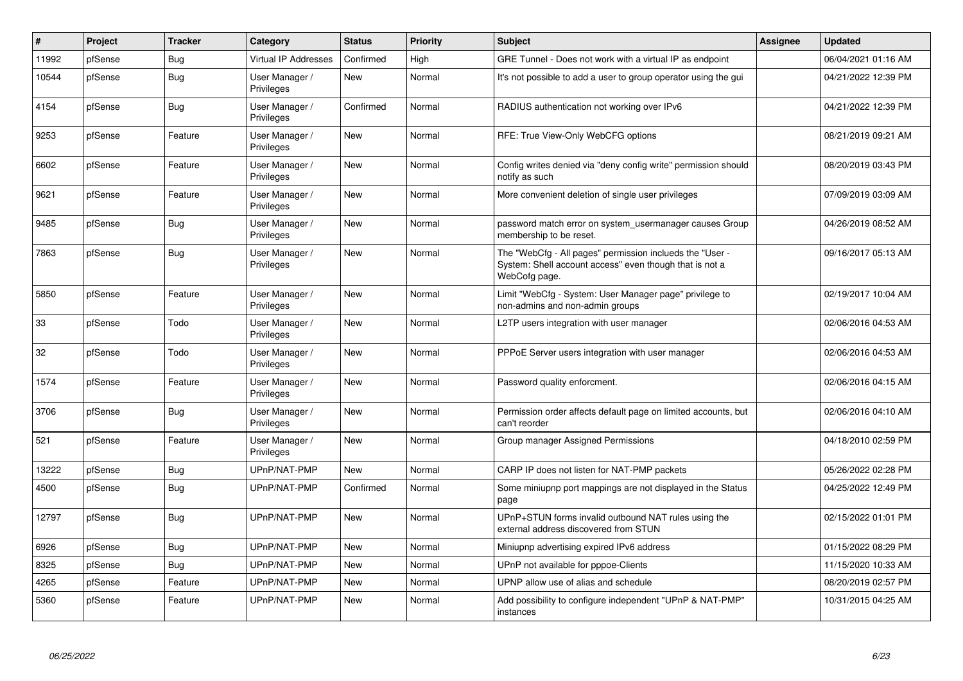| $\vert$ # | Project | <b>Tracker</b> | Category                     | <b>Status</b> | <b>Priority</b> | Subject                                                                                                                              | Assignee | <b>Updated</b>      |
|-----------|---------|----------------|------------------------------|---------------|-----------------|--------------------------------------------------------------------------------------------------------------------------------------|----------|---------------------|
| 11992     | pfSense | Bug            | <b>Virtual IP Addresses</b>  | Confirmed     | High            | GRE Tunnel - Does not work with a virtual IP as endpoint                                                                             |          | 06/04/2021 01:16 AM |
| 10544     | pfSense | <b>Bug</b>     | User Manager /<br>Privileges | <b>New</b>    | Normal          | It's not possible to add a user to group operator using the gui                                                                      |          | 04/21/2022 12:39 PM |
| 4154      | pfSense | Bug            | User Manager /<br>Privileges | Confirmed     | Normal          | RADIUS authentication not working over IPv6                                                                                          |          | 04/21/2022 12:39 PM |
| 9253      | pfSense | Feature        | User Manager /<br>Privileges | New           | Normal          | RFE: True View-Only WebCFG options                                                                                                   |          | 08/21/2019 09:21 AM |
| 6602      | pfSense | Feature        | User Manager /<br>Privileges | <b>New</b>    | Normal          | Config writes denied via "deny config write" permission should<br>notify as such                                                     |          | 08/20/2019 03:43 PM |
| 9621      | pfSense | Feature        | User Manager /<br>Privileges | <b>New</b>    | Normal          | More convenient deletion of single user privileges                                                                                   |          | 07/09/2019 03:09 AM |
| 9485      | pfSense | <b>Bug</b>     | User Manager /<br>Privileges | New           | Normal          | password match error on system usermanager causes Group<br>membership to be reset.                                                   |          | 04/26/2019 08:52 AM |
| 7863      | pfSense | <b>Bug</b>     | User Manager /<br>Privileges | New           | Normal          | The "WebCfg - All pages" permission inclueds the "User -<br>System: Shell account access" even though that is not a<br>WebCofg page. |          | 09/16/2017 05:13 AM |
| 5850      | pfSense | Feature        | User Manager /<br>Privileges | New           | Normal          | Limit "WebCfg - System: User Manager page" privilege to<br>non-admins and non-admin groups                                           |          | 02/19/2017 10:04 AM |
| 33        | pfSense | Todo           | User Manager /<br>Privileges | <b>New</b>    | Normal          | L2TP users integration with user manager                                                                                             |          | 02/06/2016 04:53 AM |
| 32        | pfSense | Todo           | User Manager /<br>Privileges | New           | Normal          | PPPoE Server users integration with user manager                                                                                     |          | 02/06/2016 04:53 AM |
| 1574      | pfSense | Feature        | User Manager /<br>Privileges | <b>New</b>    | Normal          | Password quality enforcment.                                                                                                         |          | 02/06/2016 04:15 AM |
| 3706      | pfSense | <b>Bug</b>     | User Manager /<br>Privileges | New           | Normal          | Permission order affects default page on limited accounts, but<br>can't reorder                                                      |          | 02/06/2016 04:10 AM |
| 521       | pfSense | Feature        | User Manager /<br>Privileges | <b>New</b>    | Normal          | Group manager Assigned Permissions                                                                                                   |          | 04/18/2010 02:59 PM |
| 13222     | pfSense | <b>Bug</b>     | UPnP/NAT-PMP                 | <b>New</b>    | Normal          | CARP IP does not listen for NAT-PMP packets                                                                                          |          | 05/26/2022 02:28 PM |
| 4500      | pfSense | <b>Bug</b>     | UPnP/NAT-PMP                 | Confirmed     | Normal          | Some miniupnp port mappings are not displayed in the Status<br>page                                                                  |          | 04/25/2022 12:49 PM |
| 12797     | pfSense | <b>Bug</b>     | UPnP/NAT-PMP                 | New           | Normal          | UPnP+STUN forms invalid outbound NAT rules using the<br>external address discovered from STUN                                        |          | 02/15/2022 01:01 PM |
| 6926      | pfSense | <b>Bug</b>     | UPnP/NAT-PMP                 | <b>New</b>    | Normal          | Miniupnp advertising expired IPv6 address                                                                                            |          | 01/15/2022 08:29 PM |
| 8325      | pfSense | Bug            | UPnP/NAT-PMP                 | New           | Normal          | UPnP not available for pppoe-Clients                                                                                                 |          | 11/15/2020 10:33 AM |
| 4265      | pfSense | Feature        | UPnP/NAT-PMP                 | <b>New</b>    | Normal          | UPNP allow use of alias and schedule                                                                                                 |          | 08/20/2019 02:57 PM |
| 5360      | pfSense | Feature        | UPnP/NAT-PMP                 | New           | Normal          | Add possibility to configure independent "UPnP & NAT-PMP"<br>instances                                                               |          | 10/31/2015 04:25 AM |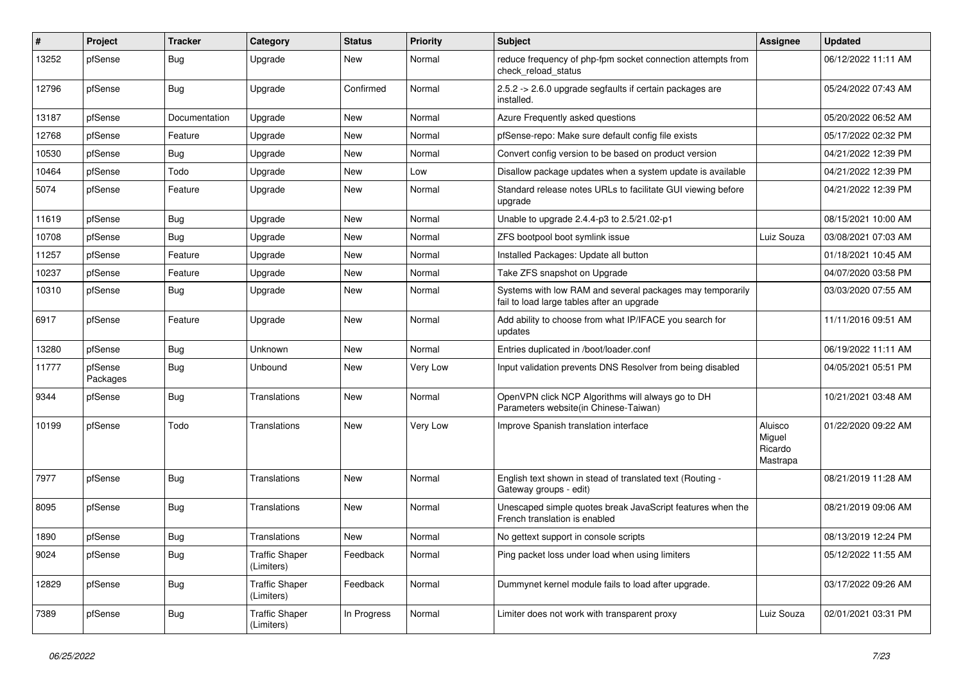| $\#$  | Project             | Tracker       | Category                            | <b>Status</b> | <b>Priority</b> | Subject                                                                                                 | Assignee                                 | <b>Updated</b>      |
|-------|---------------------|---------------|-------------------------------------|---------------|-----------------|---------------------------------------------------------------------------------------------------------|------------------------------------------|---------------------|
| 13252 | pfSense             | Bug           | Upgrade                             | New           | Normal          | reduce frequency of php-fpm socket connection attempts from<br>check reload status                      |                                          | 06/12/2022 11:11 AM |
| 12796 | pfSense             | Bug           | Upgrade                             | Confirmed     | Normal          | 2.5.2 -> 2.6.0 upgrade segfaults if certain packages are<br>installed.                                  |                                          | 05/24/2022 07:43 AM |
| 13187 | pfSense             | Documentation | Upgrade                             | New           | Normal          | Azure Frequently asked questions                                                                        |                                          | 05/20/2022 06:52 AM |
| 12768 | pfSense             | Feature       | Upgrade                             | New           | Normal          | pfSense-repo: Make sure default config file exists                                                      |                                          | 05/17/2022 02:32 PM |
| 10530 | pfSense             | Bug           | Upgrade                             | New           | Normal          | Convert config version to be based on product version                                                   |                                          | 04/21/2022 12:39 PM |
| 10464 | pfSense             | Todo          | Upgrade                             | New           | Low             | Disallow package updates when a system update is available                                              |                                          | 04/21/2022 12:39 PM |
| 5074  | pfSense             | Feature       | Upgrade                             | New           | Normal          | Standard release notes URLs to facilitate GUI viewing before<br>upgrade                                 |                                          | 04/21/2022 12:39 PM |
| 11619 | pfSense             | Bug           | Upgrade                             | New           | Normal          | Unable to upgrade 2.4.4-p3 to 2.5/21.02-p1                                                              |                                          | 08/15/2021 10:00 AM |
| 10708 | pfSense             | <b>Bug</b>    | Upgrade                             | New           | Normal          | ZFS bootpool boot symlink issue                                                                         | Luiz Souza                               | 03/08/2021 07:03 AM |
| 11257 | pfSense             | Feature       | Upgrade                             | <b>New</b>    | Normal          | Installed Packages: Update all button                                                                   |                                          | 01/18/2021 10:45 AM |
| 10237 | pfSense             | Feature       | Upgrade                             | New           | Normal          | Take ZFS snapshot on Upgrade                                                                            |                                          | 04/07/2020 03:58 PM |
| 10310 | pfSense             | Bug           | Upgrade                             | New           | Normal          | Systems with low RAM and several packages may temporarily<br>fail to load large tables after an upgrade |                                          | 03/03/2020 07:55 AM |
| 6917  | pfSense             | Feature       | Upgrade                             | New           | Normal          | Add ability to choose from what IP/IFACE you search for<br>updates                                      |                                          | 11/11/2016 09:51 AM |
| 13280 | pfSense             | Bug           | Unknown                             | New           | Normal          | Entries duplicated in /boot/loader.conf                                                                 |                                          | 06/19/2022 11:11 AM |
| 11777 | pfSense<br>Packages | Bug           | Unbound                             | New           | Very Low        | Input validation prevents DNS Resolver from being disabled                                              |                                          | 04/05/2021 05:51 PM |
| 9344  | pfSense             | Bug           | Translations                        | <b>New</b>    | Normal          | OpenVPN click NCP Algorithms will always go to DH<br>Parameters website(in Chinese-Taiwan)              |                                          | 10/21/2021 03:48 AM |
| 10199 | pfSense             | Todo          | Translations                        | <b>New</b>    | Very Low        | Improve Spanish translation interface                                                                   | Aluisco<br>Miguel<br>Ricardo<br>Mastrapa | 01/22/2020 09:22 AM |
| 7977  | pfSense             | Bug           | Translations                        | New           | Normal          | English text shown in stead of translated text (Routing -<br>Gateway groups - edit)                     |                                          | 08/21/2019 11:28 AM |
| 8095  | pfSense             | Bug           | Translations                        | New           | Normal          | Unescaped simple quotes break JavaScript features when the<br>French translation is enabled             |                                          | 08/21/2019 09:06 AM |
| 1890  | pfSense             | Bug           | Translations                        | New           | Normal          | No gettext support in console scripts                                                                   |                                          | 08/13/2019 12:24 PM |
| 9024  | pfSense             | <b>Bug</b>    | <b>Traffic Shaper</b><br>(Limiters) | Feedback      | Normal          | Ping packet loss under load when using limiters                                                         |                                          | 05/12/2022 11:55 AM |
| 12829 | pfSense             | <b>Bug</b>    | <b>Traffic Shaper</b><br>(Limiters) | Feedback      | Normal          | Dummynet kernel module fails to load after upgrade.                                                     |                                          | 03/17/2022 09:26 AM |
| 7389  | pfSense             | <b>Bug</b>    | <b>Traffic Shaper</b><br>(Limiters) | In Progress   | Normal          | Limiter does not work with transparent proxy                                                            | Luiz Souza                               | 02/01/2021 03:31 PM |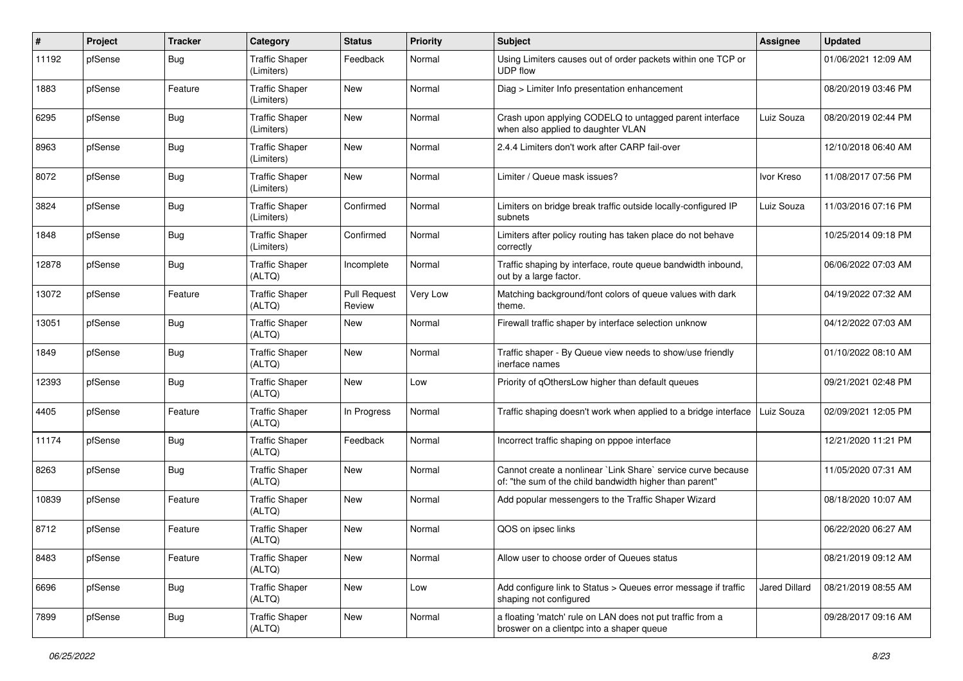| #     | Project | <b>Tracker</b> | Category                            | <b>Status</b>                 | <b>Priority</b> | <b>Subject</b>                                                                                                          | <b>Assignee</b> | <b>Updated</b>      |
|-------|---------|----------------|-------------------------------------|-------------------------------|-----------------|-------------------------------------------------------------------------------------------------------------------------|-----------------|---------------------|
| 11192 | pfSense | <b>Bug</b>     | <b>Traffic Shaper</b><br>(Limiters) | Feedback                      | Normal          | Using Limiters causes out of order packets within one TCP or<br><b>UDP flow</b>                                         |                 | 01/06/2021 12:09 AM |
| 1883  | pfSense | Feature        | <b>Traffic Shaper</b><br>(Limiters) | <b>New</b>                    | Normal          | Diag > Limiter Info presentation enhancement                                                                            |                 | 08/20/2019 03:46 PM |
| 6295  | pfSense | Bug            | <b>Traffic Shaper</b><br>(Limiters) | New                           | Normal          | Crash upon applying CODELQ to untagged parent interface<br>when also applied to daughter VLAN                           | Luiz Souza      | 08/20/2019 02:44 PM |
| 8963  | pfSense | Bug            | <b>Traffic Shaper</b><br>(Limiters) | <b>New</b>                    | Normal          | 2.4.4 Limiters don't work after CARP fail-over                                                                          |                 | 12/10/2018 06:40 AM |
| 8072  | pfSense | Bug            | <b>Traffic Shaper</b><br>(Limiters) | New                           | Normal          | Limiter / Queue mask issues?                                                                                            | Ivor Kreso      | 11/08/2017 07:56 PM |
| 3824  | pfSense | Bug            | <b>Traffic Shaper</b><br>(Limiters) | Confirmed                     | Normal          | Limiters on bridge break traffic outside locally-configured IP<br>subnets                                               | Luiz Souza      | 11/03/2016 07:16 PM |
| 1848  | pfSense | <b>Bug</b>     | <b>Traffic Shaper</b><br>(Limiters) | Confirmed                     | Normal          | Limiters after policy routing has taken place do not behave<br>correctly                                                |                 | 10/25/2014 09:18 PM |
| 12878 | pfSense | Bug            | <b>Traffic Shaper</b><br>(ALTQ)     | Incomplete                    | Normal          | Traffic shaping by interface, route queue bandwidth inbound,<br>out by a large factor.                                  |                 | 06/06/2022 07:03 AM |
| 13072 | pfSense | Feature        | <b>Traffic Shaper</b><br>(ALTQ)     | <b>Pull Request</b><br>Review | Very Low        | Matching background/font colors of queue values with dark<br>theme.                                                     |                 | 04/19/2022 07:32 AM |
| 13051 | pfSense | Bug            | <b>Traffic Shaper</b><br>(ALTQ)     | <b>New</b>                    | Normal          | Firewall traffic shaper by interface selection unknow                                                                   |                 | 04/12/2022 07:03 AM |
| 1849  | pfSense | Bug            | <b>Traffic Shaper</b><br>(ALTQ)     | <b>New</b>                    | Normal          | Traffic shaper - By Queue view needs to show/use friendly<br>inerface names                                             |                 | 01/10/2022 08:10 AM |
| 12393 | pfSense | Bug            | <b>Traffic Shaper</b><br>(ALTQ)     | <b>New</b>                    | Low             | Priority of qOthersLow higher than default queues                                                                       |                 | 09/21/2021 02:48 PM |
| 4405  | pfSense | Feature        | <b>Traffic Shaper</b><br>(ALTQ)     | In Progress                   | Normal          | Traffic shaping doesn't work when applied to a bridge interface                                                         | Luiz Souza      | 02/09/2021 12:05 PM |
| 11174 | pfSense | Bug            | <b>Traffic Shaper</b><br>(ALTQ)     | Feedback                      | Normal          | Incorrect traffic shaping on pppoe interface                                                                            |                 | 12/21/2020 11:21 PM |
| 8263  | pfSense | Bug            | <b>Traffic Shaper</b><br>(ALTQ)     | New                           | Normal          | Cannot create a nonlinear `Link Share` service curve because<br>of: "the sum of the child bandwidth higher than parent" |                 | 11/05/2020 07:31 AM |
| 10839 | pfSense | Feature        | <b>Traffic Shaper</b><br>(ALTQ)     | New                           | Normal          | Add popular messengers to the Traffic Shaper Wizard                                                                     |                 | 08/18/2020 10:07 AM |
| 8712  | pfSense | Feature        | <b>Traffic Shaper</b><br>(ALTQ)     | <b>New</b>                    | Normal          | QOS on ipsec links                                                                                                      |                 | 06/22/2020 06:27 AM |
| 8483  | pfSense | Feature        | <b>Traffic Shaper</b><br>(ALTQ)     | New                           | Normal          | Allow user to choose order of Queues status                                                                             |                 | 08/21/2019 09:12 AM |
| 6696  | pfSense | <b>Bug</b>     | <b>Traffic Shaper</b><br>(ALTQ)     | New                           | Low             | Add configure link to Status > Queues error message if traffic<br>shaping not configured                                | Jared Dillard   | 08/21/2019 08:55 AM |
| 7899  | pfSense | <b>Bug</b>     | <b>Traffic Shaper</b><br>(ALTQ)     | New                           | Normal          | a floating 'match' rule on LAN does not put traffic from a<br>broswer on a clientpc into a shaper queue                 |                 | 09/28/2017 09:16 AM |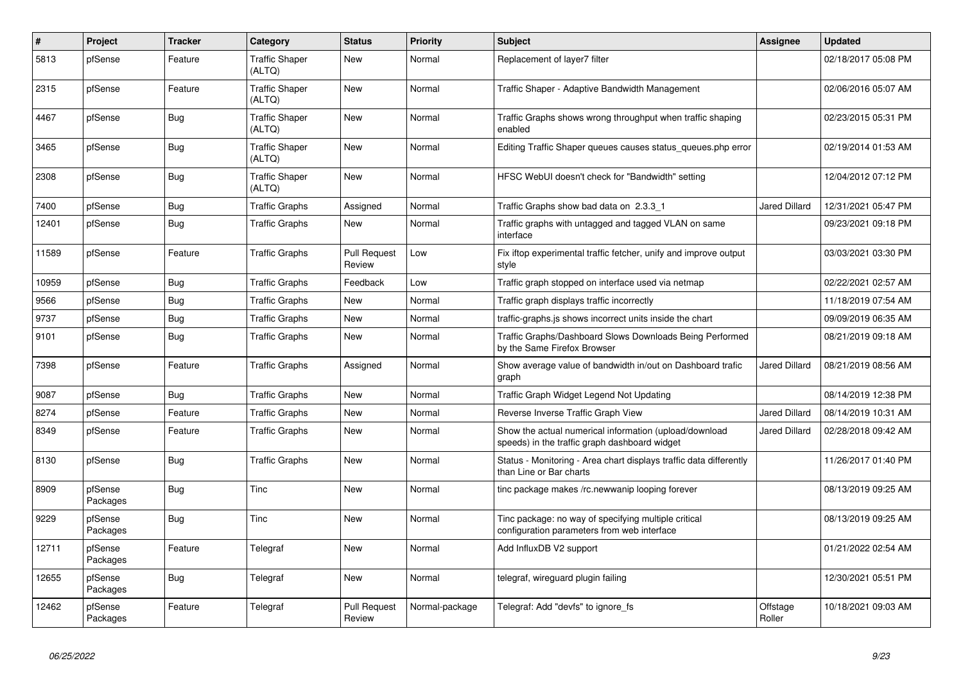| $\vert$ # | Project             | <b>Tracker</b> | Category                        | <b>Status</b>                 | <b>Priority</b> | <b>Subject</b>                                                                                          | <b>Assignee</b>      | <b>Updated</b>      |
|-----------|---------------------|----------------|---------------------------------|-------------------------------|-----------------|---------------------------------------------------------------------------------------------------------|----------------------|---------------------|
| 5813      | pfSense             | Feature        | <b>Traffic Shaper</b><br>(ALTQ) | New                           | Normal          | Replacement of layer7 filter                                                                            |                      | 02/18/2017 05:08 PM |
| 2315      | pfSense             | Feature        | <b>Traffic Shaper</b><br>(ALTQ) | <b>New</b>                    | Normal          | Traffic Shaper - Adaptive Bandwidth Management                                                          |                      | 02/06/2016 05:07 AM |
| 4467      | pfSense             | <b>Bug</b>     | <b>Traffic Shaper</b><br>(ALTQ) | <b>New</b>                    | Normal          | Traffic Graphs shows wrong throughput when traffic shaping<br>enabled                                   |                      | 02/23/2015 05:31 PM |
| 3465      | pfSense             | Bug            | <b>Traffic Shaper</b><br>(ALTQ) | <b>New</b>                    | Normal          | Editing Traffic Shaper queues causes status queues.php error                                            |                      | 02/19/2014 01:53 AM |
| 2308      | pfSense             | Bug            | <b>Traffic Shaper</b><br>(ALTQ) | <b>New</b>                    | Normal          | HFSC WebUI doesn't check for "Bandwidth" setting                                                        |                      | 12/04/2012 07:12 PM |
| 7400      | pfSense             | Bug            | <b>Traffic Graphs</b>           | Assigned                      | Normal          | Traffic Graphs show bad data on 2.3.3 1                                                                 | <b>Jared Dillard</b> | 12/31/2021 05:47 PM |
| 12401     | pfSense             | <b>Bug</b>     | <b>Traffic Graphs</b>           | New                           | Normal          | Traffic graphs with untagged and tagged VLAN on same<br>interface                                       |                      | 09/23/2021 09:18 PM |
| 11589     | pfSense             | Feature        | <b>Traffic Graphs</b>           | <b>Pull Request</b><br>Review | Low             | Fix iftop experimental traffic fetcher, unify and improve output<br>style                               |                      | 03/03/2021 03:30 PM |
| 10959     | pfSense             | Bug            | <b>Traffic Graphs</b>           | Feedback                      | Low             | Traffic graph stopped on interface used via netmap                                                      |                      | 02/22/2021 02:57 AM |
| 9566      | pfSense             | <b>Bug</b>     | <b>Traffic Graphs</b>           | <b>New</b>                    | Normal          | Traffic graph displays traffic incorrectly                                                              |                      | 11/18/2019 07:54 AM |
| 9737      | pfSense             | <b>Bug</b>     | <b>Traffic Graphs</b>           | <b>New</b>                    | Normal          | traffic-graphs.js shows incorrect units inside the chart                                                |                      | 09/09/2019 06:35 AM |
| 9101      | pfSense             | <b>Bug</b>     | <b>Traffic Graphs</b>           | <b>New</b>                    | Normal          | Traffic Graphs/Dashboard Slows Downloads Being Performed<br>by the Same Firefox Browser                 |                      | 08/21/2019 09:18 AM |
| 7398      | pfSense             | Feature        | <b>Traffic Graphs</b>           | Assigned                      | Normal          | Show average value of bandwidth in/out on Dashboard trafic<br>graph                                     | Jared Dillard        | 08/21/2019 08:56 AM |
| 9087      | pfSense             | Bug            | <b>Traffic Graphs</b>           | <b>New</b>                    | Normal          | Traffic Graph Widget Legend Not Updating                                                                |                      | 08/14/2019 12:38 PM |
| 8274      | pfSense             | Feature        | <b>Traffic Graphs</b>           | New                           | Normal          | Reverse Inverse Traffic Graph View                                                                      | <b>Jared Dillard</b> | 08/14/2019 10:31 AM |
| 8349      | pfSense             | Feature        | <b>Traffic Graphs</b>           | <b>New</b>                    | Normal          | Show the actual numerical information (upload/download<br>speeds) in the traffic graph dashboard widget | Jared Dillard        | 02/28/2018 09:42 AM |
| 8130      | pfSense             | Bug            | <b>Traffic Graphs</b>           | <b>New</b>                    | Normal          | Status - Monitoring - Area chart displays traffic data differently<br>than Line or Bar charts           |                      | 11/26/2017 01:40 PM |
| 8909      | pfSense<br>Packages | Bug            | Tinc                            | <b>New</b>                    | Normal          | tinc package makes /rc.newwanip looping forever                                                         |                      | 08/13/2019 09:25 AM |
| 9229      | pfSense<br>Packages | <b>Bug</b>     | Tinc                            | New                           | Normal          | Tinc package: no way of specifying multiple critical<br>configuration parameters from web interface     |                      | 08/13/2019 09:25 AM |
| 12711     | pfSense<br>Packages | Feature        | Telegraf                        | <b>New</b>                    | Normal          | Add InfluxDB V2 support                                                                                 |                      | 01/21/2022 02:54 AM |
| 12655     | pfSense<br>Packages | Bug            | Telegraf                        | <b>New</b>                    | Normal          | telegraf, wireguard plugin failing                                                                      |                      | 12/30/2021 05:51 PM |
| 12462     | pfSense<br>Packages | Feature        | Telegraf                        | <b>Pull Request</b><br>Review | Normal-package  | Telegraf: Add "devfs" to ignore fs                                                                      | Offstage<br>Roller   | 10/18/2021 09:03 AM |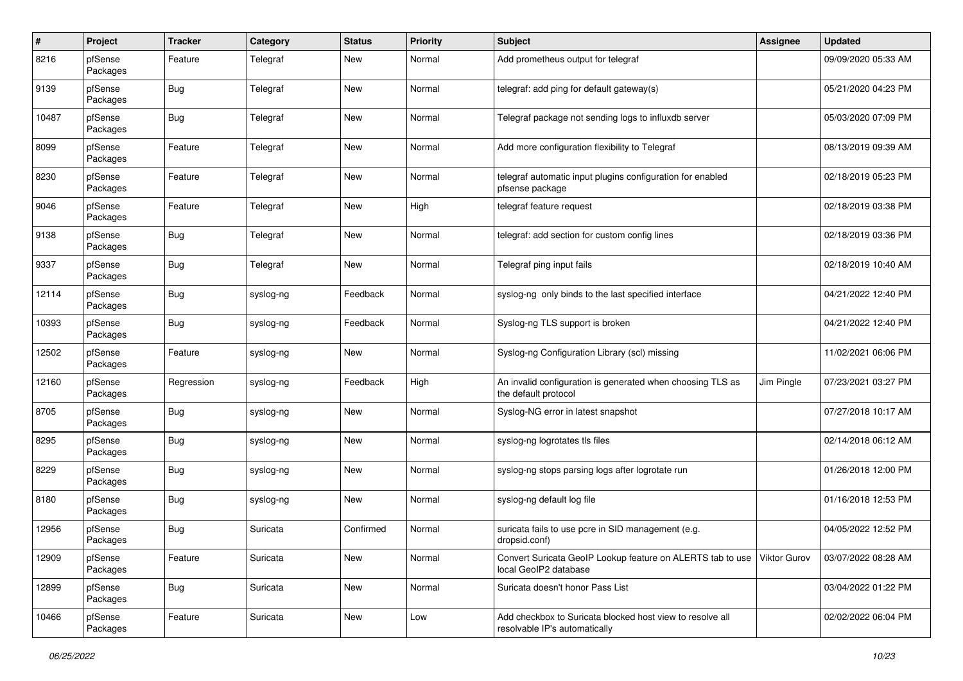| $\pmb{\#}$ | Project             | <b>Tracker</b> | Category  | <b>Status</b> | <b>Priority</b> | <b>Subject</b>                                                                             | <b>Assignee</b>     | <b>Updated</b>      |
|------------|---------------------|----------------|-----------|---------------|-----------------|--------------------------------------------------------------------------------------------|---------------------|---------------------|
| 8216       | pfSense<br>Packages | Feature        | Telegraf  | New           | Normal          | Add prometheus output for telegraf                                                         |                     | 09/09/2020 05:33 AM |
| 9139       | pfSense<br>Packages | <b>Bug</b>     | Telegraf  | New           | Normal          | telegraf: add ping for default gateway(s)                                                  |                     | 05/21/2020 04:23 PM |
| 10487      | pfSense<br>Packages | <b>Bug</b>     | Telegraf  | New           | Normal          | Telegraf package not sending logs to influxdb server                                       |                     | 05/03/2020 07:09 PM |
| 8099       | pfSense<br>Packages | Feature        | Telegraf  | New           | Normal          | Add more configuration flexibility to Telegraf                                             |                     | 08/13/2019 09:39 AM |
| 8230       | pfSense<br>Packages | Feature        | Telegraf  | New           | Normal          | telegraf automatic input plugins configuration for enabled<br>pfsense package              |                     | 02/18/2019 05:23 PM |
| 9046       | pfSense<br>Packages | Feature        | Telegraf  | New           | High            | telegraf feature request                                                                   |                     | 02/18/2019 03:38 PM |
| 9138       | pfSense<br>Packages | Bug            | Telegraf  | New           | Normal          | telegraf: add section for custom config lines                                              |                     | 02/18/2019 03:36 PM |
| 9337       | pfSense<br>Packages | <b>Bug</b>     | Telegraf  | New           | Normal          | Telegraf ping input fails                                                                  |                     | 02/18/2019 10:40 AM |
| 12114      | pfSense<br>Packages | <b>Bug</b>     | syslog-ng | Feedback      | Normal          | syslog-ng only binds to the last specified interface                                       |                     | 04/21/2022 12:40 PM |
| 10393      | pfSense<br>Packages | <b>Bug</b>     | syslog-ng | Feedback      | Normal          | Syslog-ng TLS support is broken                                                            |                     | 04/21/2022 12:40 PM |
| 12502      | pfSense<br>Packages | Feature        | syslog-ng | New           | Normal          | Syslog-ng Configuration Library (scl) missing                                              |                     | 11/02/2021 06:06 PM |
| 12160      | pfSense<br>Packages | Regression     | syslog-ng | Feedback      | High            | An invalid configuration is generated when choosing TLS as<br>the default protocol         | Jim Pingle          | 07/23/2021 03:27 PM |
| 8705       | pfSense<br>Packages | <b>Bug</b>     | syslog-ng | New           | Normal          | Syslog-NG error in latest snapshot                                                         |                     | 07/27/2018 10:17 AM |
| 8295       | pfSense<br>Packages | <b>Bug</b>     | syslog-ng | New           | Normal          | syslog-ng logrotates tls files                                                             |                     | 02/14/2018 06:12 AM |
| 8229       | pfSense<br>Packages | <b>Bug</b>     | syslog-ng | New           | Normal          | syslog-ng stops parsing logs after logrotate run                                           |                     | 01/26/2018 12:00 PM |
| 8180       | pfSense<br>Packages | <b>Bug</b>     | syslog-ng | New           | Normal          | syslog-ng default log file                                                                 |                     | 01/16/2018 12:53 PM |
| 12956      | pfSense<br>Packages | <b>Bug</b>     | Suricata  | Confirmed     | Normal          | suricata fails to use pcre in SID management (e.g.<br>dropsid.conf)                        |                     | 04/05/2022 12:52 PM |
| 12909      | pfSense<br>Packages | Feature        | Suricata  | New           | Normal          | Convert Suricata GeoIP Lookup feature on ALERTS tab to use<br>local GeoIP2 database        | <b>Viktor Gurov</b> | 03/07/2022 08:28 AM |
| 12899      | pfSense<br>Packages | <b>Bug</b>     | Suricata  | New           | Normal          | Suricata doesn't honor Pass List                                                           |                     | 03/04/2022 01:22 PM |
| 10466      | pfSense<br>Packages | Feature        | Suricata  | New           | Low             | Add checkbox to Suricata blocked host view to resolve all<br>resolvable IP's automatically |                     | 02/02/2022 06:04 PM |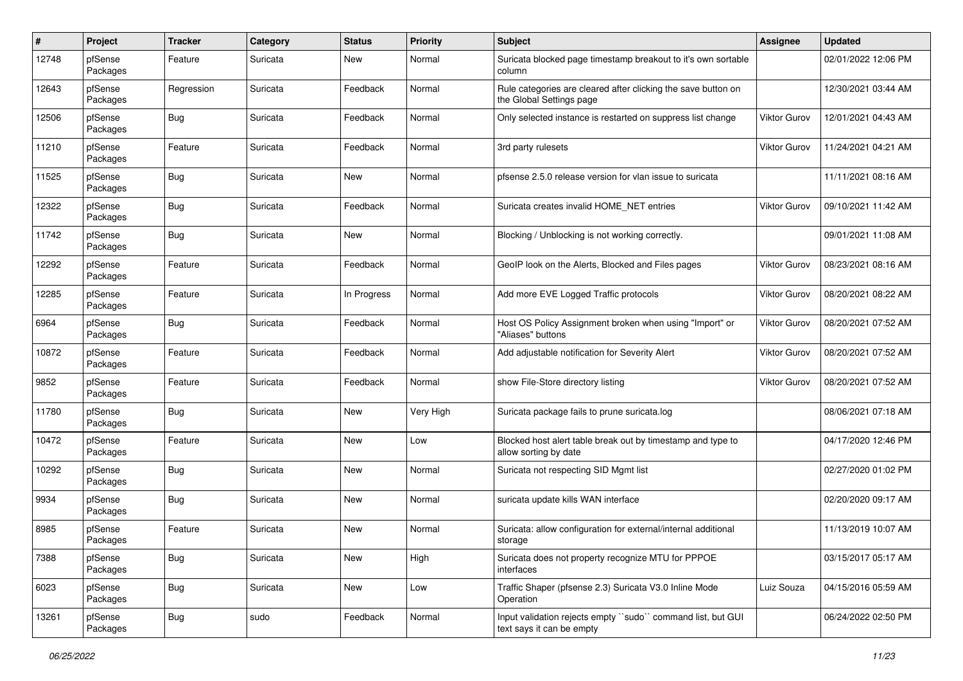| $\#$  | Project             | Tracker    | Category | <b>Status</b> | <b>Priority</b> | <b>Subject</b>                                                                            | <b>Assignee</b>     | <b>Updated</b>      |
|-------|---------------------|------------|----------|---------------|-----------------|-------------------------------------------------------------------------------------------|---------------------|---------------------|
| 12748 | pfSense<br>Packages | Feature    | Suricata | New           | Normal          | Suricata blocked page timestamp breakout to it's own sortable<br>column                   |                     | 02/01/2022 12:06 PM |
| 12643 | pfSense<br>Packages | Regression | Suricata | Feedback      | Normal          | Rule categories are cleared after clicking the save button on<br>the Global Settings page |                     | 12/30/2021 03:44 AM |
| 12506 | pfSense<br>Packages | Bug        | Suricata | Feedback      | Normal          | Only selected instance is restarted on suppress list change                               | Viktor Gurov        | 12/01/2021 04:43 AM |
| 11210 | pfSense<br>Packages | Feature    | Suricata | Feedback      | Normal          | 3rd party rulesets                                                                        | Viktor Gurov        | 11/24/2021 04:21 AM |
| 11525 | pfSense<br>Packages | Bug        | Suricata | New           | Normal          | pfsense 2.5.0 release version for vlan issue to suricata                                  |                     | 11/11/2021 08:16 AM |
| 12322 | pfSense<br>Packages | Bug        | Suricata | Feedback      | Normal          | Suricata creates invalid HOME_NET entries                                                 | <b>Viktor Gurov</b> | 09/10/2021 11:42 AM |
| 11742 | pfSense<br>Packages | Bug        | Suricata | <b>New</b>    | Normal          | Blocking / Unblocking is not working correctly.                                           |                     | 09/01/2021 11:08 AM |
| 12292 | pfSense<br>Packages | Feature    | Suricata | Feedback      | Normal          | GeoIP look on the Alerts, Blocked and Files pages                                         | <b>Viktor Gurov</b> | 08/23/2021 08:16 AM |
| 12285 | pfSense<br>Packages | Feature    | Suricata | In Progress   | Normal          | Add more EVE Logged Traffic protocols                                                     | <b>Viktor Gurov</b> | 08/20/2021 08:22 AM |
| 6964  | pfSense<br>Packages | Bug        | Suricata | Feedback      | Normal          | Host OS Policy Assignment broken when using "Import" or<br>"Aliases" buttons              | <b>Viktor Gurov</b> | 08/20/2021 07:52 AM |
| 10872 | pfSense<br>Packages | Feature    | Suricata | Feedback      | Normal          | Add adjustable notification for Severity Alert                                            | Viktor Gurov        | 08/20/2021 07:52 AM |
| 9852  | pfSense<br>Packages | Feature    | Suricata | Feedback      | Normal          | show File-Store directory listing                                                         | <b>Viktor Gurov</b> | 08/20/2021 07:52 AM |
| 11780 | pfSense<br>Packages | Bug        | Suricata | New           | Very High       | Suricata package fails to prune suricata.log                                              |                     | 08/06/2021 07:18 AM |
| 10472 | pfSense<br>Packages | Feature    | Suricata | <b>New</b>    | Low             | Blocked host alert table break out by timestamp and type to<br>allow sorting by date      |                     | 04/17/2020 12:46 PM |
| 10292 | pfSense<br>Packages | Bug        | Suricata | New           | Normal          | Suricata not respecting SID Mgmt list                                                     |                     | 02/27/2020 01:02 PM |
| 9934  | pfSense<br>Packages | Bug        | Suricata | New           | Normal          | suricata update kills WAN interface                                                       |                     | 02/20/2020 09:17 AM |
| 8985  | pfSense<br>Packages | Feature    | Suricata | New           | Normal          | Suricata: allow configuration for external/internal additional<br>storage                 |                     | 11/13/2019 10:07 AM |
| 7388  | pfSense<br>Packages | Bug        | Suricata | New           | High            | Suricata does not property recognize MTU for PPPOE<br>interfaces                          |                     | 03/15/2017 05:17 AM |
| 6023  | pfSense<br>Packages | Bug        | Suricata | New           | Low             | Traffic Shaper (pfsense 2.3) Suricata V3.0 Inline Mode<br>Operation                       | Luiz Souza          | 04/15/2016 05:59 AM |
| 13261 | pfSense<br>Packages | Bug        | sudo     | Feedback      | Normal          | Input validation rejects empty "sudo" command list, but GUI<br>text says it can be empty  |                     | 06/24/2022 02:50 PM |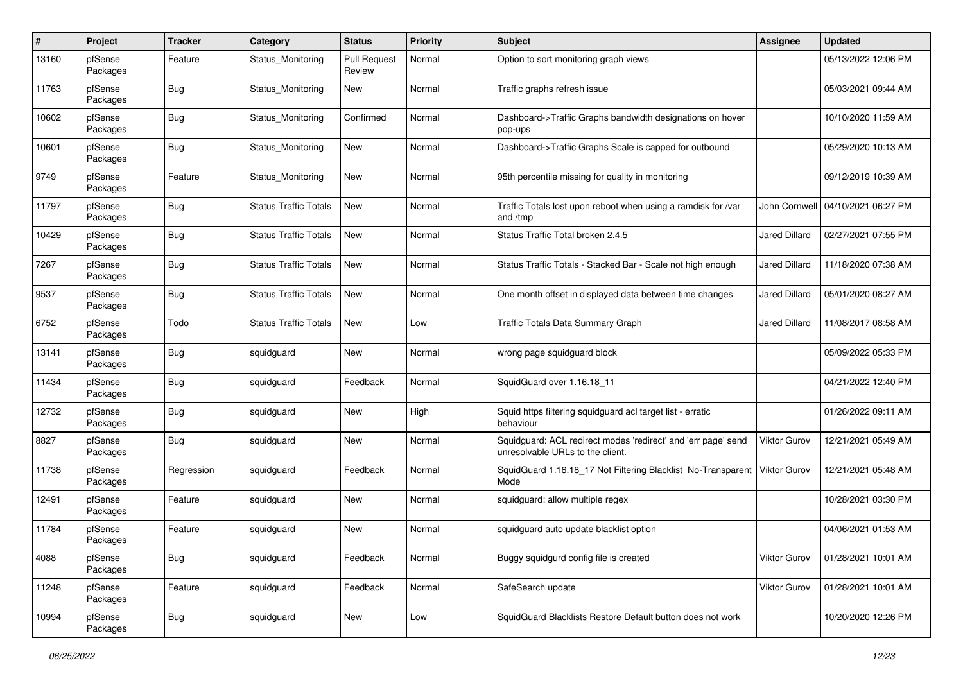| $\pmb{\#}$ | Project             | <b>Tracker</b> | Category                     | <b>Status</b>                 | <b>Priority</b> | Subject                                                                                           | <b>Assignee</b>      | <b>Updated</b>      |
|------------|---------------------|----------------|------------------------------|-------------------------------|-----------------|---------------------------------------------------------------------------------------------------|----------------------|---------------------|
| 13160      | pfSense<br>Packages | Feature        | Status Monitoring            | <b>Pull Request</b><br>Review | Normal          | Option to sort monitoring graph views                                                             |                      | 05/13/2022 12:06 PM |
| 11763      | pfSense<br>Packages | <b>Bug</b>     | Status Monitoring            | New                           | Normal          | Traffic graphs refresh issue                                                                      |                      | 05/03/2021 09:44 AM |
| 10602      | pfSense<br>Packages | Bug            | Status Monitoring            | Confirmed                     | Normal          | Dashboard->Traffic Graphs bandwidth designations on hover<br>pop-ups                              |                      | 10/10/2020 11:59 AM |
| 10601      | pfSense<br>Packages | <b>Bug</b>     | Status Monitoring            | New                           | Normal          | Dashboard->Traffic Graphs Scale is capped for outbound                                            |                      | 05/29/2020 10:13 AM |
| 9749       | pfSense<br>Packages | Feature        | Status Monitoring            | <b>New</b>                    | Normal          | 95th percentile missing for quality in monitoring                                                 |                      | 09/12/2019 10:39 AM |
| 11797      | pfSense<br>Packages | Bug            | <b>Status Traffic Totals</b> | <b>New</b>                    | Normal          | Traffic Totals lost upon reboot when using a ramdisk for /var<br>and /tmp                         | John Cornwell        | 04/10/2021 06:27 PM |
| 10429      | pfSense<br>Packages | <b>Bug</b>     | <b>Status Traffic Totals</b> | <b>New</b>                    | Normal          | Status Traffic Total broken 2.4.5                                                                 | <b>Jared Dillard</b> | 02/27/2021 07:55 PM |
| 7267       | pfSense<br>Packages | Bug            | <b>Status Traffic Totals</b> | New                           | Normal          | Status Traffic Totals - Stacked Bar - Scale not high enough                                       | <b>Jared Dillard</b> | 11/18/2020 07:38 AM |
| 9537       | pfSense<br>Packages | <b>Bug</b>     | <b>Status Traffic Totals</b> | <b>New</b>                    | Normal          | One month offset in displayed data between time changes                                           | <b>Jared Dillard</b> | 05/01/2020 08:27 AM |
| 6752       | pfSense<br>Packages | Todo           | <b>Status Traffic Totals</b> | <b>New</b>                    | Low             | Traffic Totals Data Summary Graph                                                                 | <b>Jared Dillard</b> | 11/08/2017 08:58 AM |
| 13141      | pfSense<br>Packages | <b>Bug</b>     | squidguard                   | New                           | Normal          | wrong page squidguard block                                                                       |                      | 05/09/2022 05:33 PM |
| 11434      | pfSense<br>Packages | Bug            | squidguard                   | Feedback                      | Normal          | SquidGuard over 1.16.18 11                                                                        |                      | 04/21/2022 12:40 PM |
| 12732      | pfSense<br>Packages | Bug            | squidguard                   | New                           | High            | Squid https filtering squidguard acl target list - erratic<br>behaviour                           |                      | 01/26/2022 09:11 AM |
| 8827       | pfSense<br>Packages | Bug            | squidguard                   | New                           | Normal          | Squidguard: ACL redirect modes 'redirect' and 'err page' send<br>unresolvable URLs to the client. | Viktor Gurov         | 12/21/2021 05:49 AM |
| 11738      | pfSense<br>Packages | Regression     | squidguard                   | Feedback                      | Normal          | SquidGuard 1.16.18_17 Not Filtering Blacklist No-Transparent<br>Mode                              | <b>Viktor Gurov</b>  | 12/21/2021 05:48 AM |
| 12491      | pfSense<br>Packages | Feature        | squidguard                   | New                           | Normal          | squidguard: allow multiple regex                                                                  |                      | 10/28/2021 03:30 PM |
| 11784      | pfSense<br>Packages | Feature        | squidguard                   | New                           | Normal          | squidguard auto update blacklist option                                                           |                      | 04/06/2021 01:53 AM |
| 4088       | pfSense<br>Packages | <b>Bug</b>     | squidguard                   | Feedback                      | Normal          | Buggy squidgurd config file is created                                                            | <b>Viktor Gurov</b>  | 01/28/2021 10:01 AM |
| 11248      | pfSense<br>Packages | Feature        | squidguard                   | Feedback                      | Normal          | SafeSearch update                                                                                 | Viktor Gurov         | 01/28/2021 10:01 AM |
| 10994      | pfSense<br>Packages | <b>Bug</b>     | squidguard                   | New                           | Low             | SquidGuard Blacklists Restore Default button does not work                                        |                      | 10/20/2020 12:26 PM |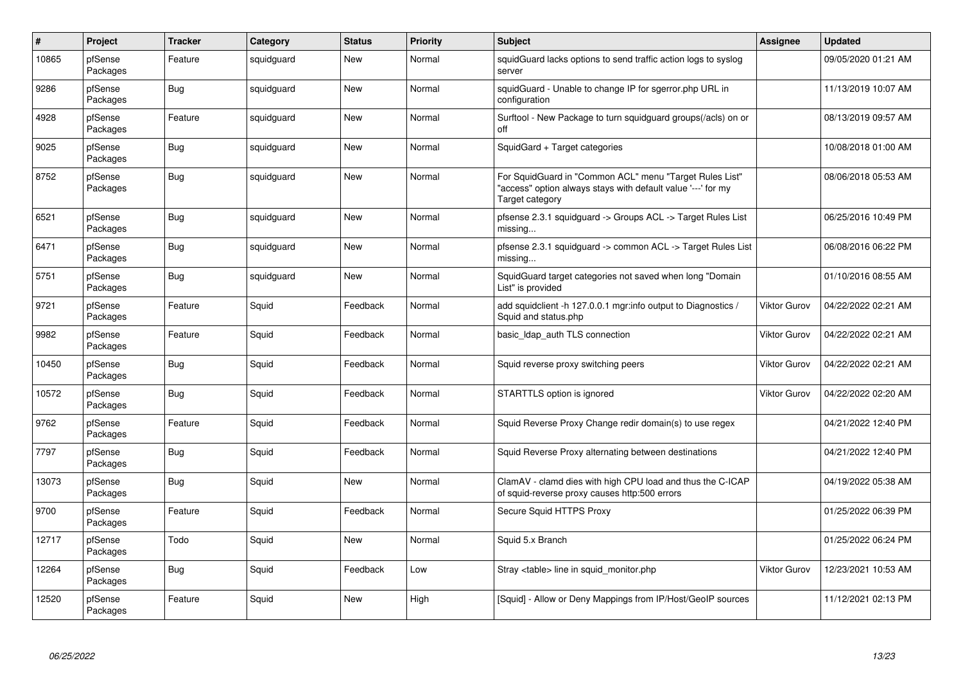| $\#$  | Project             | <b>Tracker</b> | Category   | <b>Status</b> | <b>Priority</b> | <b>Subject</b>                                                                                                                             | <b>Assignee</b>     | <b>Updated</b>      |
|-------|---------------------|----------------|------------|---------------|-----------------|--------------------------------------------------------------------------------------------------------------------------------------------|---------------------|---------------------|
| 10865 | pfSense<br>Packages | Feature        | squidguard | New           | Normal          | squidGuard lacks options to send traffic action logs to syslog<br>server                                                                   |                     | 09/05/2020 01:21 AM |
| 9286  | pfSense<br>Packages | <b>Bug</b>     | squidguard | <b>New</b>    | Normal          | squidGuard - Unable to change IP for sgerror.php URL in<br>configuration                                                                   |                     | 11/13/2019 10:07 AM |
| 4928  | pfSense<br>Packages | Feature        | squidguard | <b>New</b>    | Normal          | Surftool - New Package to turn squidguard groups(/acls) on or<br>off                                                                       |                     | 08/13/2019 09:57 AM |
| 9025  | pfSense<br>Packages | <b>Bug</b>     | squidguard | <b>New</b>    | Normal          | SquidGard + Target categories                                                                                                              |                     | 10/08/2018 01:00 AM |
| 8752  | pfSense<br>Packages | Bug            | squidguard | <b>New</b>    | Normal          | For SquidGuard in "Common ACL" menu "Target Rules List"<br>"access" option always stays with default value '---' for my<br>Target category |                     | 08/06/2018 05:53 AM |
| 6521  | pfSense<br>Packages | Bug            | squidguard | <b>New</b>    | Normal          | pfsense 2.3.1 squidguard -> Groups ACL -> Target Rules List<br>missing                                                                     |                     | 06/25/2016 10:49 PM |
| 6471  | pfSense<br>Packages | <b>Bug</b>     | squidguard | <b>New</b>    | Normal          | pfsense 2.3.1 squidguard -> common ACL -> Target Rules List<br>missing                                                                     |                     | 06/08/2016 06:22 PM |
| 5751  | pfSense<br>Packages | <b>Bug</b>     | squidguard | <b>New</b>    | Normal          | SquidGuard target categories not saved when long "Domain<br>List" is provided                                                              |                     | 01/10/2016 08:55 AM |
| 9721  | pfSense<br>Packages | Feature        | Squid      | Feedback      | Normal          | add squidclient -h 127.0.0.1 mgr:info output to Diagnostics /<br>Squid and status.php                                                      | <b>Viktor Gurov</b> | 04/22/2022 02:21 AM |
| 9982  | pfSense<br>Packages | Feature        | Squid      | Feedback      | Normal          | basic Idap auth TLS connection                                                                                                             | <b>Viktor Gurov</b> | 04/22/2022 02:21 AM |
| 10450 | pfSense<br>Packages | Bug            | Squid      | Feedback      | Normal          | Squid reverse proxy switching peers                                                                                                        | <b>Viktor Gurov</b> | 04/22/2022 02:21 AM |
| 10572 | pfSense<br>Packages | Bug            | Squid      | Feedback      | Normal          | STARTTLS option is ignored                                                                                                                 | <b>Viktor Gurov</b> | 04/22/2022 02:20 AM |
| 9762  | pfSense<br>Packages | Feature        | Squid      | Feedback      | Normal          | Squid Reverse Proxy Change redir domain(s) to use regex                                                                                    |                     | 04/21/2022 12:40 PM |
| 7797  | pfSense<br>Packages | <b>Bug</b>     | Squid      | Feedback      | Normal          | Squid Reverse Proxy alternating between destinations                                                                                       |                     | 04/21/2022 12:40 PM |
| 13073 | pfSense<br>Packages | Bug            | Squid      | <b>New</b>    | Normal          | ClamAV - clamd dies with high CPU load and thus the C-ICAP<br>of squid-reverse proxy causes http:500 errors                                |                     | 04/19/2022 05:38 AM |
| 9700  | pfSense<br>Packages | Feature        | Squid      | Feedback      | Normal          | Secure Squid HTTPS Proxy                                                                                                                   |                     | 01/25/2022 06:39 PM |
| 12717 | pfSense<br>Packages | Todo           | Squid      | <b>New</b>    | Normal          | Squid 5.x Branch                                                                                                                           |                     | 01/25/2022 06:24 PM |
| 12264 | pfSense<br>Packages | Bug            | Squid      | Feedback      | Low             | Stray <table> line in squid monitor.php</table>                                                                                            | <b>Viktor Gurov</b> | 12/23/2021 10:53 AM |
| 12520 | pfSense<br>Packages | Feature        | Squid      | <b>New</b>    | High            | [Squid] - Allow or Deny Mappings from IP/Host/GeoIP sources                                                                                |                     | 11/12/2021 02:13 PM |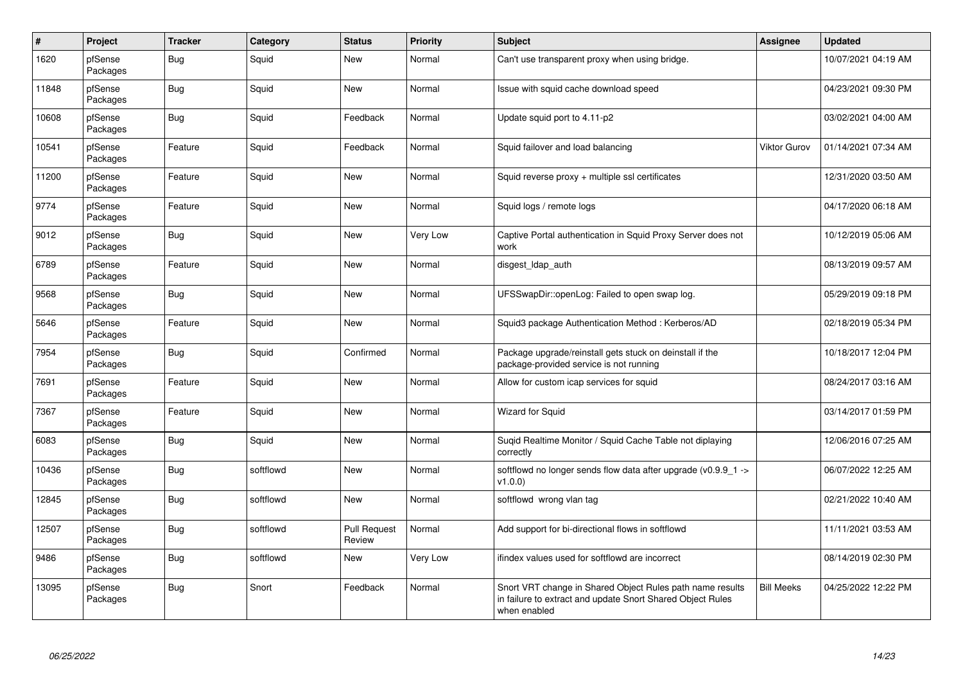| $\vert$ # | Project             | <b>Tracker</b> | Category  | <b>Status</b>          | <b>Priority</b> | Subject                                                                                                                                 | <b>Assignee</b>     | <b>Updated</b>      |
|-----------|---------------------|----------------|-----------|------------------------|-----------------|-----------------------------------------------------------------------------------------------------------------------------------------|---------------------|---------------------|
| 1620      | pfSense<br>Packages | Bug            | Squid     | New                    | Normal          | Can't use transparent proxy when using bridge.                                                                                          |                     | 10/07/2021 04:19 AM |
| 11848     | pfSense<br>Packages | <b>Bug</b>     | Squid     | <b>New</b>             | Normal          | Issue with squid cache download speed                                                                                                   |                     | 04/23/2021 09:30 PM |
| 10608     | pfSense<br>Packages | <b>Bug</b>     | Squid     | Feedback               | Normal          | Update squid port to 4.11-p2                                                                                                            |                     | 03/02/2021 04:00 AM |
| 10541     | pfSense<br>Packages | Feature        | Squid     | Feedback               | Normal          | Squid failover and load balancing                                                                                                       | <b>Viktor Gurov</b> | 01/14/2021 07:34 AM |
| 11200     | pfSense<br>Packages | Feature        | Squid     | <b>New</b>             | Normal          | Squid reverse $proxy + \text{multiple}$ asl certificates                                                                                |                     | 12/31/2020 03:50 AM |
| 9774      | pfSense<br>Packages | Feature        | Squid     | <b>New</b>             | Normal          | Squid logs / remote logs                                                                                                                |                     | 04/17/2020 06:18 AM |
| 9012      | pfSense<br>Packages | Bug            | Squid     | <b>New</b>             | Very Low        | Captive Portal authentication in Squid Proxy Server does not<br>work                                                                    |                     | 10/12/2019 05:06 AM |
| 6789      | pfSense<br>Packages | Feature        | Squid     | <b>New</b>             | Normal          | disgest Idap auth                                                                                                                       |                     | 08/13/2019 09:57 AM |
| 9568      | pfSense<br>Packages | <b>Bug</b>     | Squid     | <b>New</b>             | Normal          | UFSSwapDir::openLog: Failed to open swap log.                                                                                           |                     | 05/29/2019 09:18 PM |
| 5646      | pfSense<br>Packages | Feature        | Squid     | <b>New</b>             | Normal          | Squid3 package Authentication Method: Kerberos/AD                                                                                       |                     | 02/18/2019 05:34 PM |
| 7954      | pfSense<br>Packages | Bug            | Squid     | Confirmed              | Normal          | Package upgrade/reinstall gets stuck on deinstall if the<br>package-provided service is not running                                     |                     | 10/18/2017 12:04 PM |
| 7691      | pfSense<br>Packages | Feature        | Squid     | <b>New</b>             | Normal          | Allow for custom icap services for squid                                                                                                |                     | 08/24/2017 03:16 AM |
| 7367      | pfSense<br>Packages | Feature        | Squid     | <b>New</b>             | Normal          | Wizard for Squid                                                                                                                        |                     | 03/14/2017 01:59 PM |
| 6083      | pfSense<br>Packages | Bug            | Squid     | <b>New</b>             | Normal          | Sugid Realtime Monitor / Squid Cache Table not diplaying<br>correctly                                                                   |                     | 12/06/2016 07:25 AM |
| 10436     | pfSense<br>Packages | <b>Bug</b>     | softflowd | New                    | Normal          | softflowd no longer sends flow data after upgrade ( $v0.9.9$ 1 -><br>v1.0.0                                                             |                     | 06/07/2022 12:25 AM |
| 12845     | pfSense<br>Packages | Bug            | softflowd | <b>New</b>             | Normal          | softflowd wrong vlan tag                                                                                                                |                     | 02/21/2022 10:40 AM |
| 12507     | pfSense<br>Packages | <b>Bug</b>     | softflowd | Pull Request<br>Review | Normal          | Add support for bi-directional flows in softflowd                                                                                       |                     | 11/11/2021 03:53 AM |
| 9486      | pfSense<br>Packages | Bug            | softflowd | <b>New</b>             | Very Low        | ifindex values used for softflowd are incorrect                                                                                         |                     | 08/14/2019 02:30 PM |
| 13095     | pfSense<br>Packages | <b>Bug</b>     | Snort     | Feedback               | Normal          | Snort VRT change in Shared Object Rules path name results<br>in failure to extract and update Snort Shared Object Rules<br>when enabled | <b>Bill Meeks</b>   | 04/25/2022 12:22 PM |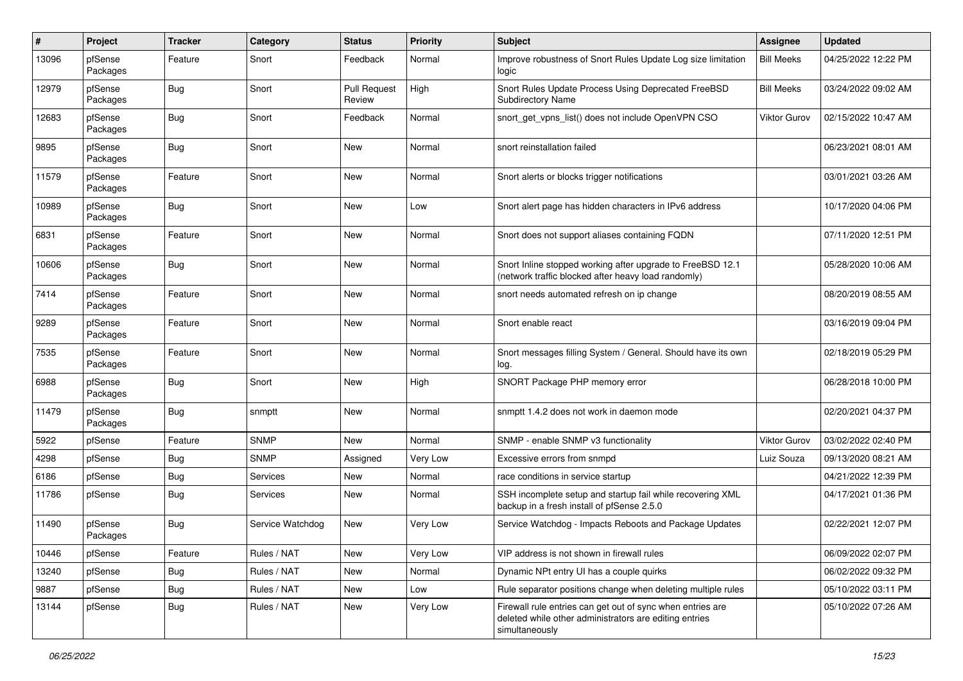| #     | Project             | <b>Tracker</b> | Category         | <b>Status</b>                 | <b>Priority</b> | <b>Subject</b>                                                                                                                         | Assignee          | <b>Updated</b>      |
|-------|---------------------|----------------|------------------|-------------------------------|-----------------|----------------------------------------------------------------------------------------------------------------------------------------|-------------------|---------------------|
| 13096 | pfSense<br>Packages | Feature        | Snort            | Feedback                      | Normal          | Improve robustness of Snort Rules Update Log size limitation<br>logic                                                                  | <b>Bill Meeks</b> | 04/25/2022 12:22 PM |
| 12979 | pfSense<br>Packages | Bug            | Snort            | <b>Pull Request</b><br>Review | High            | Snort Rules Update Process Using Deprecated FreeBSD<br><b>Subdirectory Name</b>                                                        | <b>Bill Meeks</b> | 03/24/2022 09:02 AM |
| 12683 | pfSense<br>Packages | <b>Bug</b>     | Snort            | Feedback                      | Normal          | snort_get_vpns_list() does not include OpenVPN CSO                                                                                     | Viktor Gurov      | 02/15/2022 10:47 AM |
| 9895  | pfSense<br>Packages | Bug            | Snort            | <b>New</b>                    | Normal          | snort reinstallation failed                                                                                                            |                   | 06/23/2021 08:01 AM |
| 11579 | pfSense<br>Packages | Feature        | Snort            | <b>New</b>                    | Normal          | Snort alerts or blocks trigger notifications                                                                                           |                   | 03/01/2021 03:26 AM |
| 10989 | pfSense<br>Packages | Bug            | Snort            | <b>New</b>                    | Low             | Snort alert page has hidden characters in IPv6 address                                                                                 |                   | 10/17/2020 04:06 PM |
| 6831  | pfSense<br>Packages | Feature        | Snort            | New                           | Normal          | Snort does not support aliases containing FQDN                                                                                         |                   | 07/11/2020 12:51 PM |
| 10606 | pfSense<br>Packages | Bug            | Snort            | New                           | Normal          | Snort Inline stopped working after upgrade to FreeBSD 12.1<br>(network traffic blocked after heavy load randomly)                      |                   | 05/28/2020 10:06 AM |
| 7414  | pfSense<br>Packages | Feature        | Snort            | <b>New</b>                    | Normal          | snort needs automated refresh on ip change                                                                                             |                   | 08/20/2019 08:55 AM |
| 9289  | pfSense<br>Packages | Feature        | Snort            | <b>New</b>                    | Normal          | Snort enable react                                                                                                                     |                   | 03/16/2019 09:04 PM |
| 7535  | pfSense<br>Packages | Feature        | Snort            | <b>New</b>                    | Normal          | Snort messages filling System / General. Should have its own<br>log.                                                                   |                   | 02/18/2019 05:29 PM |
| 6988  | pfSense<br>Packages | Bug            | Snort            | <b>New</b>                    | High            | SNORT Package PHP memory error                                                                                                         |                   | 06/28/2018 10:00 PM |
| 11479 | pfSense<br>Packages | Bug            | snmptt           | <b>New</b>                    | Normal          | snmptt 1.4.2 does not work in daemon mode                                                                                              |                   | 02/20/2021 04:37 PM |
| 5922  | pfSense             | Feature        | <b>SNMP</b>      | <b>New</b>                    | Normal          | SNMP - enable SNMP v3 functionality                                                                                                    | Viktor Gurov      | 03/02/2022 02:40 PM |
| 4298  | pfSense             | <b>Bug</b>     | <b>SNMP</b>      | Assigned                      | Very Low        | Excessive errors from snmpd                                                                                                            | Luiz Souza        | 09/13/2020 08:21 AM |
| 6186  | pfSense             | <b>Bug</b>     | <b>Services</b>  | <b>New</b>                    | Normal          | race conditions in service startup                                                                                                     |                   | 04/21/2022 12:39 PM |
| 11786 | pfSense             | Bug            | <b>Services</b>  | New                           | Normal          | SSH incomplete setup and startup fail while recovering XML<br>backup in a fresh install of pfSense 2.5.0                               |                   | 04/17/2021 01:36 PM |
| 11490 | pfSense<br>Packages | <b>Bug</b>     | Service Watchdog | <b>New</b>                    | Very Low        | Service Watchdog - Impacts Reboots and Package Updates                                                                                 |                   | 02/22/2021 12:07 PM |
| 10446 | pfSense             | Feature        | Rules / NAT      | New                           | Very Low        | VIP address is not shown in firewall rules                                                                                             |                   | 06/09/2022 02:07 PM |
| 13240 | pfSense             | <b>Bug</b>     | Rules / NAT      | New                           | Normal          | Dynamic NPt entry UI has a couple quirks                                                                                               |                   | 06/02/2022 09:32 PM |
| 9887  | pfSense             | <b>Bug</b>     | Rules / NAT      | New                           | Low             | Rule separator positions change when deleting multiple rules                                                                           |                   | 05/10/2022 03:11 PM |
| 13144 | pfSense             | <b>Bug</b>     | Rules / NAT      | New                           | Very Low        | Firewall rule entries can get out of sync when entries are<br>deleted while other administrators are editing entries<br>simultaneously |                   | 05/10/2022 07:26 AM |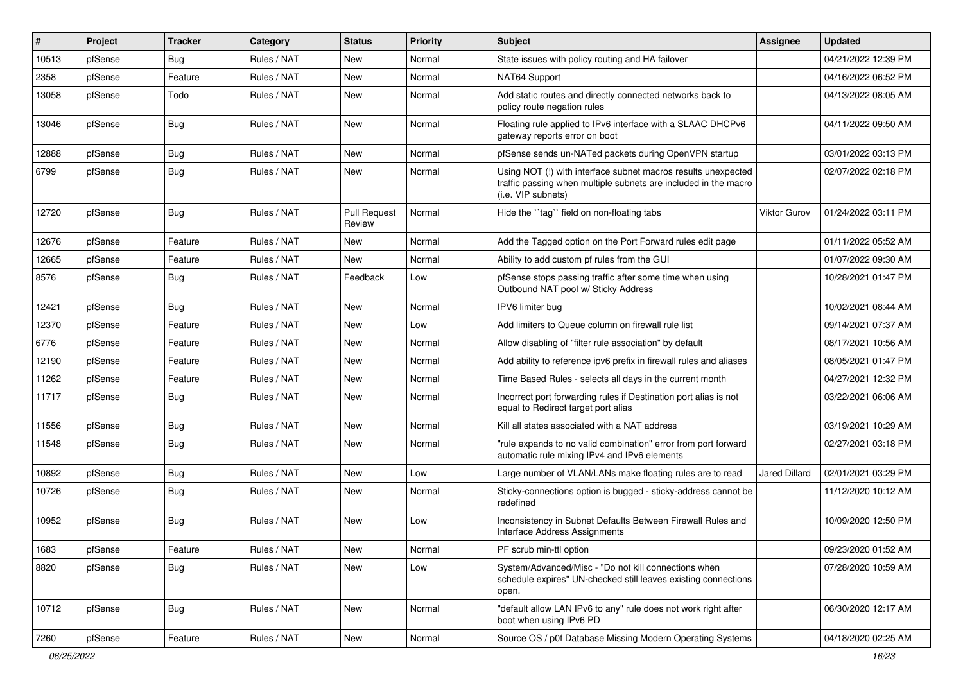| $\vert$ # | Project | <b>Tracker</b> | Category    | <b>Status</b>                 | <b>Priority</b> | Subject                                                                                                                                                | <b>Assignee</b> | <b>Updated</b>      |
|-----------|---------|----------------|-------------|-------------------------------|-----------------|--------------------------------------------------------------------------------------------------------------------------------------------------------|-----------------|---------------------|
| 10513     | pfSense | Bug            | Rules / NAT | New                           | Normal          | State issues with policy routing and HA failover                                                                                                       |                 | 04/21/2022 12:39 PM |
| 2358      | pfSense | Feature        | Rules / NAT | New                           | Normal          | NAT64 Support                                                                                                                                          |                 | 04/16/2022 06:52 PM |
| 13058     | pfSense | Todo           | Rules / NAT | New                           | Normal          | Add static routes and directly connected networks back to<br>policy route negation rules                                                               |                 | 04/13/2022 08:05 AM |
| 13046     | pfSense | Bug            | Rules / NAT | New                           | Normal          | Floating rule applied to IPv6 interface with a SLAAC DHCPv6<br>gateway reports error on boot                                                           |                 | 04/11/2022 09:50 AM |
| 12888     | pfSense | Bug            | Rules / NAT | New                           | Normal          | pfSense sends un-NATed packets during OpenVPN startup                                                                                                  |                 | 03/01/2022 03:13 PM |
| 6799      | pfSense | Bug            | Rules / NAT | New                           | Normal          | Using NOT (!) with interface subnet macros results unexpected<br>traffic passing when multiple subnets are included in the macro<br>(i.e. VIP subnets) |                 | 02/07/2022 02:18 PM |
| 12720     | pfSense | Bug            | Rules / NAT | <b>Pull Request</b><br>Review | Normal          | Hide the "tag" field on non-floating tabs                                                                                                              | Viktor Gurov    | 01/24/2022 03:11 PM |
| 12676     | pfSense | Feature        | Rules / NAT | New                           | Normal          | Add the Tagged option on the Port Forward rules edit page                                                                                              |                 | 01/11/2022 05:52 AM |
| 12665     | pfSense | Feature        | Rules / NAT | New                           | Normal          | Ability to add custom pf rules from the GUI                                                                                                            |                 | 01/07/2022 09:30 AM |
| 8576      | pfSense | Bug            | Rules / NAT | Feedback                      | Low             | pfSense stops passing traffic after some time when using<br>Outbound NAT pool w/ Sticky Address                                                        |                 | 10/28/2021 01:47 PM |
| 12421     | pfSense | Bug            | Rules / NAT | New                           | Normal          | IPV6 limiter bug                                                                                                                                       |                 | 10/02/2021 08:44 AM |
| 12370     | pfSense | Feature        | Rules / NAT | New                           | Low             | Add limiters to Queue column on firewall rule list                                                                                                     |                 | 09/14/2021 07:37 AM |
| 6776      | pfSense | Feature        | Rules / NAT | New                           | Normal          | Allow disabling of "filter rule association" by default                                                                                                |                 | 08/17/2021 10:56 AM |
| 12190     | pfSense | Feature        | Rules / NAT | New                           | Normal          | Add ability to reference ipv6 prefix in firewall rules and aliases                                                                                     |                 | 08/05/2021 01:47 PM |
| 11262     | pfSense | Feature        | Rules / NAT | New                           | Normal          | Time Based Rules - selects all days in the current month                                                                                               |                 | 04/27/2021 12:32 PM |
| 11717     | pfSense | Bug            | Rules / NAT | New                           | Normal          | Incorrect port forwarding rules if Destination port alias is not<br>equal to Redirect target port alias                                                |                 | 03/22/2021 06:06 AM |
| 11556     | pfSense | Bug            | Rules / NAT | New                           | Normal          | Kill all states associated with a NAT address                                                                                                          |                 | 03/19/2021 10:29 AM |
| 11548     | pfSense | <b>Bug</b>     | Rules / NAT | New                           | Normal          | "rule expands to no valid combination" error from port forward<br>automatic rule mixing IPv4 and IPv6 elements                                         |                 | 02/27/2021 03:18 PM |
| 10892     | pfSense | Bug            | Rules / NAT | New                           | Low             | Large number of VLAN/LANs make floating rules are to read                                                                                              | Jared Dillard   | 02/01/2021 03:29 PM |
| 10726     | pfSense | Bug            | Rules / NAT | New                           | Normal          | Sticky-connections option is bugged - sticky-address cannot be<br>redefined                                                                            |                 | 11/12/2020 10:12 AM |
| 10952     | pfSense | Bug            | Rules / NAT | New                           | Low             | Inconsistency in Subnet Defaults Between Firewall Rules and<br>Interface Address Assignments                                                           |                 | 10/09/2020 12:50 PM |
| 1683      | pfSense | Feature        | Rules / NAT | New                           | Normal          | PF scrub min-ttl option                                                                                                                                |                 | 09/23/2020 01:52 AM |
| 8820      | pfSense | <b>Bug</b>     | Rules / NAT | New                           | Low             | System/Advanced/Misc - "Do not kill connections when<br>schedule expires" UN-checked still leaves existing connections<br>open.                        |                 | 07/28/2020 10:59 AM |
| 10712     | pfSense | <b>Bug</b>     | Rules / NAT | New                           | Normal          | "default allow LAN IPv6 to any" rule does not work right after<br>boot when using IPv6 PD                                                              |                 | 06/30/2020 12:17 AM |
| 7260      | pfSense | Feature        | Rules / NAT | New                           | Normal          | Source OS / p0f Database Missing Modern Operating Systems                                                                                              |                 | 04/18/2020 02:25 AM |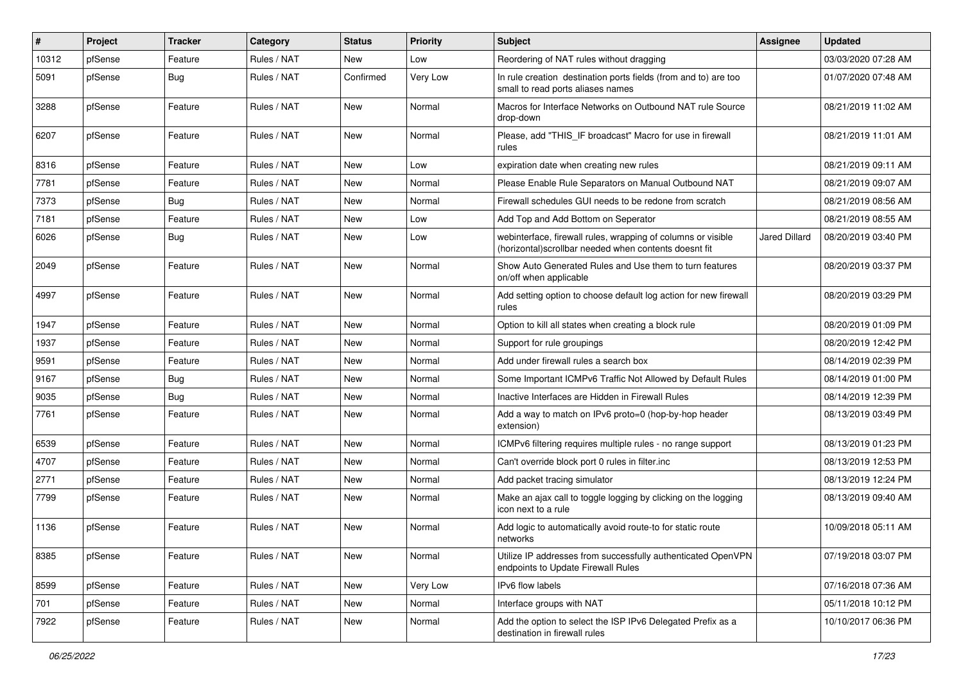| #     | Project | <b>Tracker</b> | Category    | <b>Status</b> | <b>Priority</b> | <b>Subject</b>                                                                                                        | <b>Assignee</b>      | <b>Updated</b>      |
|-------|---------|----------------|-------------|---------------|-----------------|-----------------------------------------------------------------------------------------------------------------------|----------------------|---------------------|
| 10312 | pfSense | Feature        | Rules / NAT | New           | Low             | Reordering of NAT rules without dragging                                                                              |                      | 03/03/2020 07:28 AM |
| 5091  | pfSense | Bug            | Rules / NAT | Confirmed     | Very Low        | In rule creation destination ports fields (from and to) are too<br>small to read ports aliases names                  |                      | 01/07/2020 07:48 AM |
| 3288  | pfSense | Feature        | Rules / NAT | <b>New</b>    | Normal          | Macros for Interface Networks on Outbound NAT rule Source<br>drop-down                                                |                      | 08/21/2019 11:02 AM |
| 6207  | pfSense | Feature        | Rules / NAT | New           | Normal          | Please, add "THIS_IF broadcast" Macro for use in firewall<br>rules                                                    |                      | 08/21/2019 11:01 AM |
| 8316  | pfSense | Feature        | Rules / NAT | <b>New</b>    | Low             | expiration date when creating new rules                                                                               |                      | 08/21/2019 09:11 AM |
| 7781  | pfSense | Feature        | Rules / NAT | New           | Normal          | Please Enable Rule Separators on Manual Outbound NAT                                                                  |                      | 08/21/2019 09:07 AM |
| 7373  | pfSense | Bug            | Rules / NAT | New           | Normal          | Firewall schedules GUI needs to be redone from scratch                                                                |                      | 08/21/2019 08:56 AM |
| 7181  | pfSense | Feature        | Rules / NAT | New           | Low             | Add Top and Add Bottom on Seperator                                                                                   |                      | 08/21/2019 08:55 AM |
| 6026  | pfSense | Bug            | Rules / NAT | New           | Low             | webinterface, firewall rules, wrapping of columns or visible<br>(horizontal)scrollbar needed when contents doesnt fit | <b>Jared Dillard</b> | 08/20/2019 03:40 PM |
| 2049  | pfSense | Feature        | Rules / NAT | New           | Normal          | Show Auto Generated Rules and Use them to turn features<br>on/off when applicable                                     |                      | 08/20/2019 03:37 PM |
| 4997  | pfSense | Feature        | Rules / NAT | New           | Normal          | Add setting option to choose default log action for new firewall<br>rules                                             |                      | 08/20/2019 03:29 PM |
| 1947  | pfSense | Feature        | Rules / NAT | New           | Normal          | Option to kill all states when creating a block rule                                                                  |                      | 08/20/2019 01:09 PM |
| 1937  | pfSense | Feature        | Rules / NAT | New           | Normal          | Support for rule groupings                                                                                            |                      | 08/20/2019 12:42 PM |
| 9591  | pfSense | Feature        | Rules / NAT | New           | Normal          | Add under firewall rules a search box                                                                                 |                      | 08/14/2019 02:39 PM |
| 9167  | pfSense | Bug            | Rules / NAT | New           | Normal          | Some Important ICMPv6 Traffic Not Allowed by Default Rules                                                            |                      | 08/14/2019 01:00 PM |
| 9035  | pfSense | <b>Bug</b>     | Rules / NAT | New           | Normal          | Inactive Interfaces are Hidden in Firewall Rules                                                                      |                      | 08/14/2019 12:39 PM |
| 7761  | pfSense | Feature        | Rules / NAT | New           | Normal          | Add a way to match on IPv6 proto=0 (hop-by-hop header<br>extension)                                                   |                      | 08/13/2019 03:49 PM |
| 6539  | pfSense | Feature        | Rules / NAT | New           | Normal          | ICMPv6 filtering requires multiple rules - no range support                                                           |                      | 08/13/2019 01:23 PM |
| 4707  | pfSense | Feature        | Rules / NAT | New           | Normal          | Can't override block port 0 rules in filter.inc                                                                       |                      | 08/13/2019 12:53 PM |
| 2771  | pfSense | Feature        | Rules / NAT | New           | Normal          | Add packet tracing simulator                                                                                          |                      | 08/13/2019 12:24 PM |
| 7799  | pfSense | Feature        | Rules / NAT | New           | Normal          | Make an ajax call to toggle logging by clicking on the logging<br>icon next to a rule                                 |                      | 08/13/2019 09:40 AM |
| 1136  | pfSense | Feature        | Rules / NAT | New           | Normal          | Add logic to automatically avoid route-to for static route<br>networks                                                |                      | 10/09/2018 05:11 AM |
| 8385  | pfSense | Feature        | Rules / NAT | New           | Normal          | Utilize IP addresses from successfully authenticated OpenVPN<br>endpoints to Update Firewall Rules                    |                      | 07/19/2018 03:07 PM |
| 8599  | pfSense | Feature        | Rules / NAT | New           | Very Low        | IPv6 flow labels                                                                                                      |                      | 07/16/2018 07:36 AM |
| 701   | pfSense | Feature        | Rules / NAT | New           | Normal          | Interface groups with NAT                                                                                             |                      | 05/11/2018 10:12 PM |
| 7922  | pfSense | Feature        | Rules / NAT | New           | Normal          | Add the option to select the ISP IPv6 Delegated Prefix as a<br>destination in firewall rules                          |                      | 10/10/2017 06:36 PM |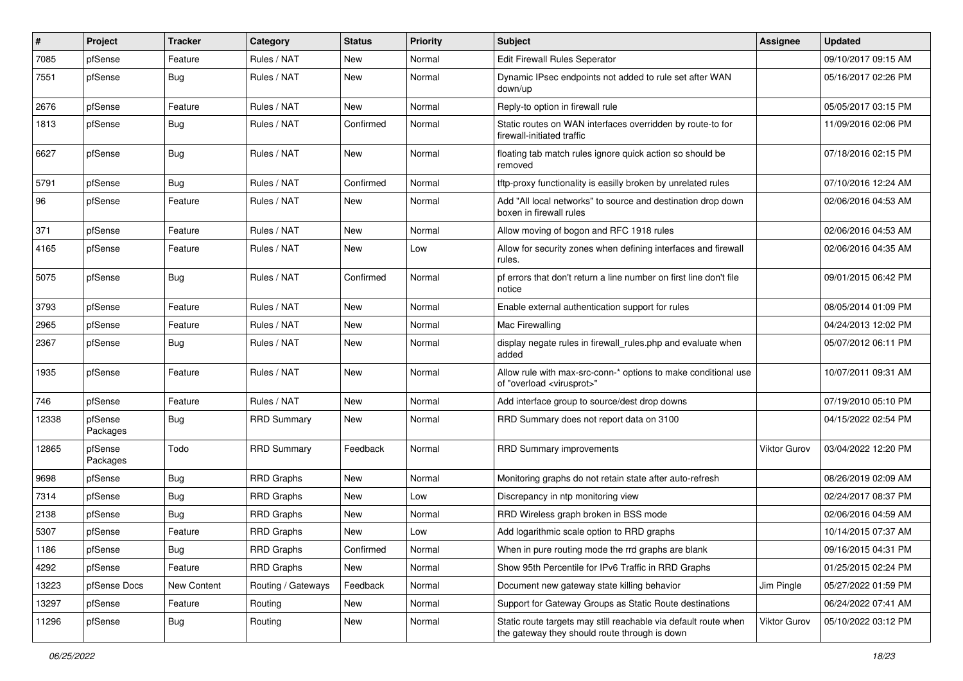| #     | Project             | <b>Tracker</b> | Category           | <b>Status</b> | <b>Priority</b> | <b>Subject</b>                                                                                                   | <b>Assignee</b> | <b>Updated</b>      |
|-------|---------------------|----------------|--------------------|---------------|-----------------|------------------------------------------------------------------------------------------------------------------|-----------------|---------------------|
| 7085  | pfSense             | Feature        | Rules / NAT        | New           | Normal          | Edit Firewall Rules Seperator                                                                                    |                 | 09/10/2017 09:15 AM |
| 7551  | pfSense             | Bug            | Rules / NAT        | New           | Normal          | Dynamic IPsec endpoints not added to rule set after WAN<br>down/up                                               |                 | 05/16/2017 02:26 PM |
| 2676  | pfSense             | Feature        | Rules / NAT        | <b>New</b>    | Normal          | Reply-to option in firewall rule                                                                                 |                 | 05/05/2017 03:15 PM |
| 1813  | pfSense             | <b>Bug</b>     | Rules / NAT        | Confirmed     | Normal          | Static routes on WAN interfaces overridden by route-to for<br>firewall-initiated traffic                         |                 | 11/09/2016 02:06 PM |
| 6627  | pfSense             | Bug            | Rules / NAT        | New           | Normal          | floating tab match rules ignore quick action so should be<br>removed                                             |                 | 07/18/2016 02:15 PM |
| 5791  | pfSense             | Bug            | Rules / NAT        | Confirmed     | Normal          | tftp-proxy functionality is easilly broken by unrelated rules                                                    |                 | 07/10/2016 12:24 AM |
| 96    | pfSense             | Feature        | Rules / NAT        | New           | Normal          | Add "All local networks" to source and destination drop down<br>boxen in firewall rules                          |                 | 02/06/2016 04:53 AM |
| 371   | pfSense             | Feature        | Rules / NAT        | <b>New</b>    | Normal          | Allow moving of bogon and RFC 1918 rules                                                                         |                 | 02/06/2016 04:53 AM |
| 4165  | pfSense             | Feature        | Rules / NAT        | New           | Low             | Allow for security zones when defining interfaces and firewall<br>rules.                                         |                 | 02/06/2016 04:35 AM |
| 5075  | pfSense             | Bug            | Rules / NAT        | Confirmed     | Normal          | pf errors that don't return a line number on first line don't file<br>notice                                     |                 | 09/01/2015 06:42 PM |
| 3793  | pfSense             | Feature        | Rules / NAT        | New           | Normal          | Enable external authentication support for rules                                                                 |                 | 08/05/2014 01:09 PM |
| 2965  | pfSense             | Feature        | Rules / NAT        | New           | Normal          | Mac Firewalling                                                                                                  |                 | 04/24/2013 12:02 PM |
| 2367  | pfSense             | Bug            | Rules / NAT        | New           | Normal          | display negate rules in firewall_rules.php and evaluate when<br>added                                            |                 | 05/07/2012 06:11 PM |
| 1935  | pfSense             | Feature        | Rules / NAT        | New           | Normal          | Allow rule with max-src-conn-* options to make conditional use<br>of "overload <virusprot>"</virusprot>          |                 | 10/07/2011 09:31 AM |
| 746   | pfSense             | Feature        | Rules / NAT        | <b>New</b>    | Normal          | Add interface group to source/dest drop downs                                                                    |                 | 07/19/2010 05:10 PM |
| 12338 | pfSense<br>Packages | <b>Bug</b>     | <b>RRD Summary</b> | New           | Normal          | RRD Summary does not report data on 3100                                                                         |                 | 04/15/2022 02:54 PM |
| 12865 | pfSense<br>Packages | Todo           | <b>RRD Summary</b> | Feedback      | Normal          | <b>RRD Summary improvements</b>                                                                                  | Viktor Gurov    | 03/04/2022 12:20 PM |
| 9698  | pfSense             | <b>Bug</b>     | <b>RRD Graphs</b>  | New           | Normal          | Monitoring graphs do not retain state after auto-refresh                                                         |                 | 08/26/2019 02:09 AM |
| 7314  | pfSense             | Bug            | <b>RRD Graphs</b>  | New           | Low             | Discrepancy in ntp monitoring view                                                                               |                 | 02/24/2017 08:37 PM |
| 2138  | pfSense             | Bug            | <b>RRD Graphs</b>  | <b>New</b>    | Normal          | RRD Wireless graph broken in BSS mode                                                                            |                 | 02/06/2016 04:59 AM |
| 5307  | pfSense             | Feature        | <b>RRD Graphs</b>  | New           | Low             | Add logarithmic scale option to RRD graphs                                                                       |                 | 10/14/2015 07:37 AM |
| 1186  | pfSense             | <b>Bug</b>     | <b>RRD Graphs</b>  | Confirmed     | Normal          | When in pure routing mode the rrd graphs are blank                                                               |                 | 09/16/2015 04:31 PM |
| 4292  | pfSense             | Feature        | <b>RRD Graphs</b>  | New           | Normal          | Show 95th Percentile for IPv6 Traffic in RRD Graphs                                                              |                 | 01/25/2015 02:24 PM |
| 13223 | pfSense Docs        | New Content    | Routing / Gateways | Feedback      | Normal          | Document new gateway state killing behavior                                                                      | Jim Pingle      | 05/27/2022 01:59 PM |
| 13297 | pfSense             | Feature        | Routing            | New           | Normal          | Support for Gateway Groups as Static Route destinations                                                          |                 | 06/24/2022 07:41 AM |
| 11296 | pfSense             | <b>Bug</b>     | Routing            | New           | Normal          | Static route targets may still reachable via default route when<br>the gateway they should route through is down | Viktor Gurov    | 05/10/2022 03:12 PM |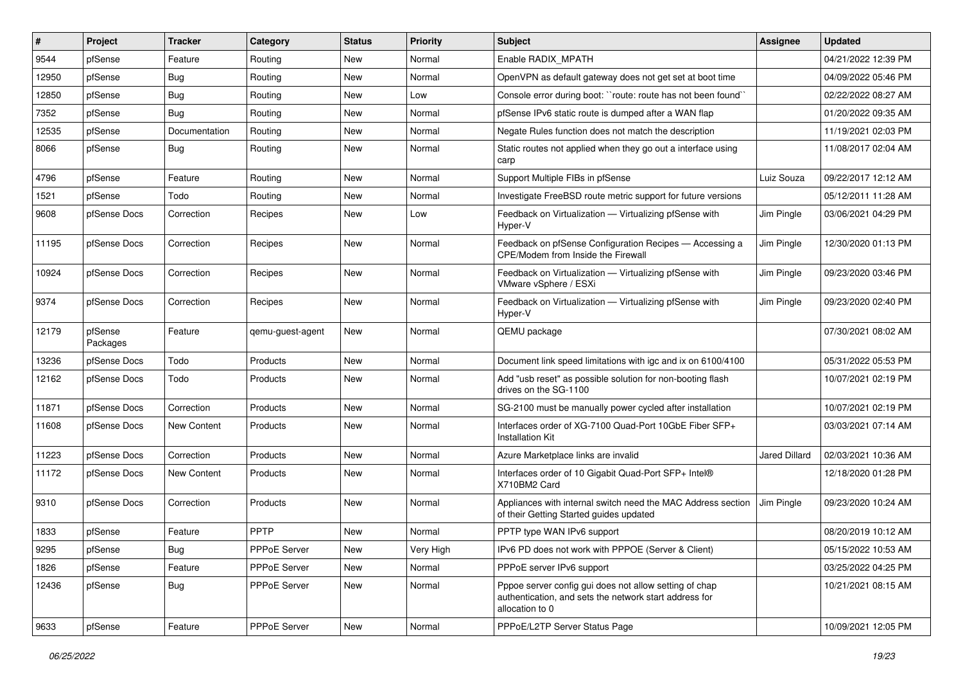| #     | Project             | <b>Tracker</b> | Category         | <b>Status</b> | <b>Priority</b> | Subject                                                                                                                             | <b>Assignee</b> | <b>Updated</b>      |
|-------|---------------------|----------------|------------------|---------------|-----------------|-------------------------------------------------------------------------------------------------------------------------------------|-----------------|---------------------|
| 9544  | pfSense             | Feature        | Routing          | New           | Normal          | Enable RADIX MPATH                                                                                                                  |                 | 04/21/2022 12:39 PM |
| 12950 | pfSense             | Bug            | Routing          | <b>New</b>    | Normal          | OpenVPN as default gateway does not get set at boot time                                                                            |                 | 04/09/2022 05:46 PM |
| 12850 | pfSense             | Bug            | Routing          | New           | Low             | Console error during boot: "route: route has not been found"                                                                        |                 | 02/22/2022 08:27 AM |
| 7352  | pfSense             | Bug            | Routing          | New           | Normal          | pfSense IPv6 static route is dumped after a WAN flap                                                                                |                 | 01/20/2022 09:35 AM |
| 12535 | pfSense             | Documentation  | Routing          | New           | Normal          | Negate Rules function does not match the description                                                                                |                 | 11/19/2021 02:03 PM |
| 8066  | pfSense             | Bug            | Routing          | New           | Normal          | Static routes not applied when they go out a interface using<br>carp                                                                |                 | 11/08/2017 02:04 AM |
| 4796  | pfSense             | Feature        | Routing          | <b>New</b>    | Normal          | Support Multiple FIBs in pfSense                                                                                                    | Luiz Souza      | 09/22/2017 12:12 AM |
| 1521  | pfSense             | Todo           | Routing          | New           | Normal          | Investigate FreeBSD route metric support for future versions                                                                        |                 | 05/12/2011 11:28 AM |
| 9608  | pfSense Docs        | Correction     | Recipes          | New           | Low             | Feedback on Virtualization - Virtualizing pfSense with<br>Hyper-V                                                                   | Jim Pingle      | 03/06/2021 04:29 PM |
| 11195 | pfSense Docs        | Correction     | Recipes          | <b>New</b>    | Normal          | Feedback on pfSense Configuration Recipes - Accessing a<br>CPE/Modem from Inside the Firewall                                       | Jim Pingle      | 12/30/2020 01:13 PM |
| 10924 | pfSense Docs        | Correction     | Recipes          | <b>New</b>    | Normal          | Feedback on Virtualization - Virtualizing pfSense with<br>VMware vSphere / ESXi                                                     | Jim Pingle      | 09/23/2020 03:46 PM |
| 9374  | pfSense Docs        | Correction     | Recipes          | <b>New</b>    | Normal          | Feedback on Virtualization - Virtualizing pfSense with<br>Hyper-V                                                                   | Jim Pingle      | 09/23/2020 02:40 PM |
| 12179 | pfSense<br>Packages | Feature        | qemu-guest-agent | New           | Normal          | QEMU package                                                                                                                        |                 | 07/30/2021 08:02 AM |
| 13236 | pfSense Docs        | Todo           | Products         | New           | Normal          | Document link speed limitations with igc and ix on 6100/4100                                                                        |                 | 05/31/2022 05:53 PM |
| 12162 | pfSense Docs        | Todo           | Products         | New           | Normal          | Add "usb reset" as possible solution for non-booting flash<br>drives on the SG-1100                                                 |                 | 10/07/2021 02:19 PM |
| 11871 | pfSense Docs        | Correction     | Products         | <b>New</b>    | Normal          | SG-2100 must be manually power cycled after installation                                                                            |                 | 10/07/2021 02:19 PM |
| 11608 | pfSense Docs        | New Content    | Products         | New           | Normal          | Interfaces order of XG-7100 Quad-Port 10GbE Fiber SFP+<br><b>Installation Kit</b>                                                   |                 | 03/03/2021 07:14 AM |
| 11223 | pfSense Docs        | Correction     | Products         | New           | Normal          | Azure Marketplace links are invalid                                                                                                 | Jared Dillard   | 02/03/2021 10:36 AM |
| 11172 | pfSense Docs        | New Content    | Products         | <b>New</b>    | Normal          | Interfaces order of 10 Gigabit Quad-Port SFP+ Intel®<br>X710BM2 Card                                                                |                 | 12/18/2020 01:28 PM |
| 9310  | pfSense Docs        | Correction     | Products         | New           | Normal          | Appliances with internal switch need the MAC Address section<br>of their Getting Started guides updated                             | Jim Pingle      | 09/23/2020 10:24 AM |
| 1833  | pfSense             | Feature        | <b>PPTP</b>      | <b>New</b>    | Normal          | PPTP type WAN IPv6 support                                                                                                          |                 | 08/20/2019 10:12 AM |
| 9295  | pfSense             | <b>Bug</b>     | PPPoE Server     | New           | Very High       | IPv6 PD does not work with PPPOE (Server & Client)                                                                                  |                 | 05/15/2022 10:53 AM |
| 1826  | pfSense             | Feature        | PPPoE Server     | New           | Normal          | PPPoE server IPv6 support                                                                                                           |                 | 03/25/2022 04:25 PM |
| 12436 | pfSense             | <b>Bug</b>     | PPPoE Server     | New           | Normal          | Pppoe server config gui does not allow setting of chap<br>authentication, and sets the network start address for<br>allocation to 0 |                 | 10/21/2021 08:15 AM |
| 9633  | pfSense             | Feature        | PPPoE Server     | New           | Normal          | PPPoE/L2TP Server Status Page                                                                                                       |                 | 10/09/2021 12:05 PM |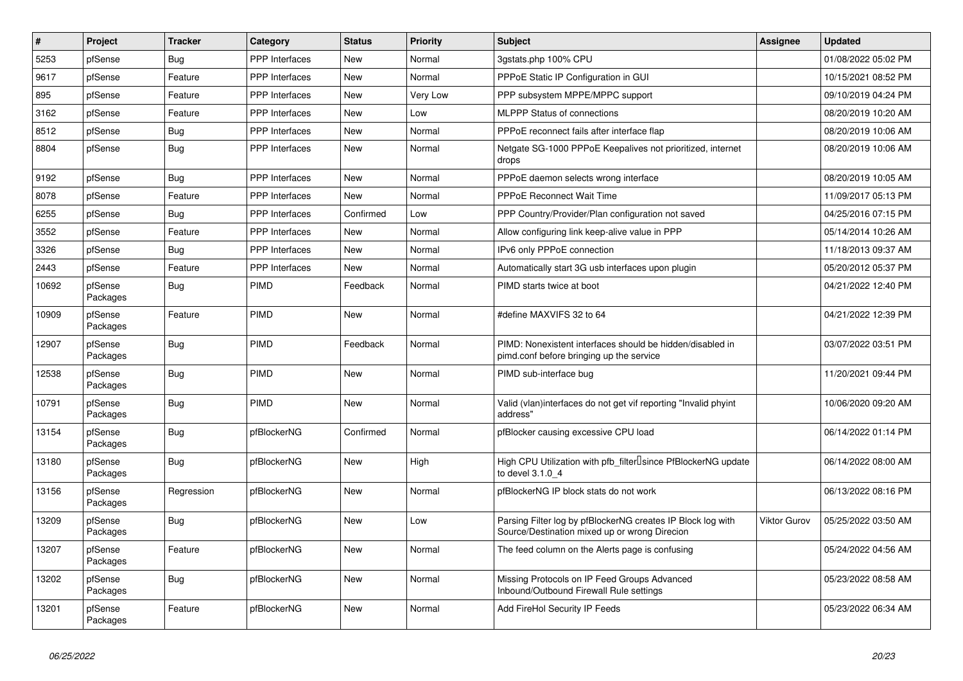| ∦     | Project             | <b>Tracker</b> | Category              | <b>Status</b> | <b>Priority</b> | <b>Subject</b>                                                                                               | <b>Assignee</b> | <b>Updated</b>      |
|-------|---------------------|----------------|-----------------------|---------------|-----------------|--------------------------------------------------------------------------------------------------------------|-----------------|---------------------|
| 5253  | pfSense             | Bug            | <b>PPP</b> Interfaces | <b>New</b>    | Normal          | 3qstats.php 100% CPU                                                                                         |                 | 01/08/2022 05:02 PM |
| 9617  | pfSense             | Feature        | <b>PPP</b> Interfaces | <b>New</b>    | Normal          | PPPoE Static IP Configuration in GUI                                                                         |                 | 10/15/2021 08:52 PM |
| 895   | pfSense             | Feature        | <b>PPP</b> Interfaces | New           | Very Low        | PPP subsystem MPPE/MPPC support                                                                              |                 | 09/10/2019 04:24 PM |
| 3162  | pfSense             | Feature        | <b>PPP</b> Interfaces | <b>New</b>    | Low             | <b>MLPPP Status of connections</b>                                                                           |                 | 08/20/2019 10:20 AM |
| 8512  | pfSense             | Bug            | PPP Interfaces        | <b>New</b>    | Normal          | PPPoE reconnect fails after interface flap                                                                   |                 | 08/20/2019 10:06 AM |
| 8804  | pfSense             | Bug            | <b>PPP</b> Interfaces | <b>New</b>    | Normal          | Netgate SG-1000 PPPoE Keepalives not prioritized, internet<br>drops                                          |                 | 08/20/2019 10:06 AM |
| 9192  | pfSense             | Bug            | PPP Interfaces        | New           | Normal          | PPPoE daemon selects wrong interface                                                                         |                 | 08/20/2019 10:05 AM |
| 8078  | pfSense             | Feature        | <b>PPP</b> Interfaces | <b>New</b>    | Normal          | <b>PPPoE Reconnect Wait Time</b>                                                                             |                 | 11/09/2017 05:13 PM |
| 6255  | pfSense             | Bug            | <b>PPP</b> Interfaces | Confirmed     | Low             | PPP Country/Provider/Plan configuration not saved                                                            |                 | 04/25/2016 07:15 PM |
| 3552  | pfSense             | Feature        | <b>PPP</b> Interfaces | New           | Normal          | Allow configuring link keep-alive value in PPP                                                               |                 | 05/14/2014 10:26 AM |
| 3326  | pfSense             | <b>Bug</b>     | <b>PPP</b> Interfaces | <b>New</b>    | Normal          | IPv6 only PPPoE connection                                                                                   |                 | 11/18/2013 09:37 AM |
| 2443  | pfSense             | Feature        | <b>PPP</b> Interfaces | New           | Normal          | Automatically start 3G usb interfaces upon plugin                                                            |                 | 05/20/2012 05:37 PM |
| 10692 | pfSense<br>Packages | <b>Bug</b>     | <b>PIMD</b>           | Feedback      | Normal          | PIMD starts twice at boot                                                                                    |                 | 04/21/2022 12:40 PM |
| 10909 | pfSense<br>Packages | Feature        | <b>PIMD</b>           | New           | Normal          | #define MAXVIFS 32 to 64                                                                                     |                 | 04/21/2022 12:39 PM |
| 12907 | pfSense<br>Packages | Bug            | <b>PIMD</b>           | Feedback      | Normal          | PIMD: Nonexistent interfaces should be hidden/disabled in<br>pimd.conf before bringing up the service        |                 | 03/07/2022 03:51 PM |
| 12538 | pfSense<br>Packages | Bug            | PIMD                  | <b>New</b>    | Normal          | PIMD sub-interface bug                                                                                       |                 | 11/20/2021 09:44 PM |
| 10791 | pfSense<br>Packages | <b>Bug</b>     | <b>PIMD</b>           | <b>New</b>    | Normal          | Valid (vlan)interfaces do not get vif reporting "Invalid phyint"<br>address"                                 |                 | 10/06/2020 09:20 AM |
| 13154 | pfSense<br>Packages | Bug            | pfBlockerNG           | Confirmed     | Normal          | pfBlocker causing excessive CPU load                                                                         |                 | 06/14/2022 01:14 PM |
| 13180 | pfSense<br>Packages | Bug            | pfBlockerNG           | <b>New</b>    | High            | High CPU Utilization with pfb_filter <sup>[]</sup> since PfBlockerNG update<br>to devel 3.1.0 4              |                 | 06/14/2022 08:00 AM |
| 13156 | pfSense<br>Packages | Regression     | pfBlockerNG           | <b>New</b>    | Normal          | pfBlockerNG IP block stats do not work                                                                       |                 | 06/13/2022 08:16 PM |
| 13209 | pfSense<br>Packages | Bug            | pfBlockerNG           | <b>New</b>    | Low             | Parsing Filter log by pfBlockerNG creates IP Block log with<br>Source/Destination mixed up or wrong Direcion | Viktor Gurov    | 05/25/2022 03:50 AM |
| 13207 | pfSense<br>Packages | Feature        | pfBlockerNG           | <b>New</b>    | Normal          | The feed column on the Alerts page is confusing                                                              |                 | 05/24/2022 04:56 AM |
| 13202 | pfSense<br>Packages | Bug            | pfBlockerNG           | <b>New</b>    | Normal          | Missing Protocols on IP Feed Groups Advanced<br>Inbound/Outbound Firewall Rule settings                      |                 | 05/23/2022 08:58 AM |
| 13201 | pfSense<br>Packages | Feature        | pfBlockerNG           | <b>New</b>    | Normal          | Add FireHol Security IP Feeds                                                                                |                 | 05/23/2022 06:34 AM |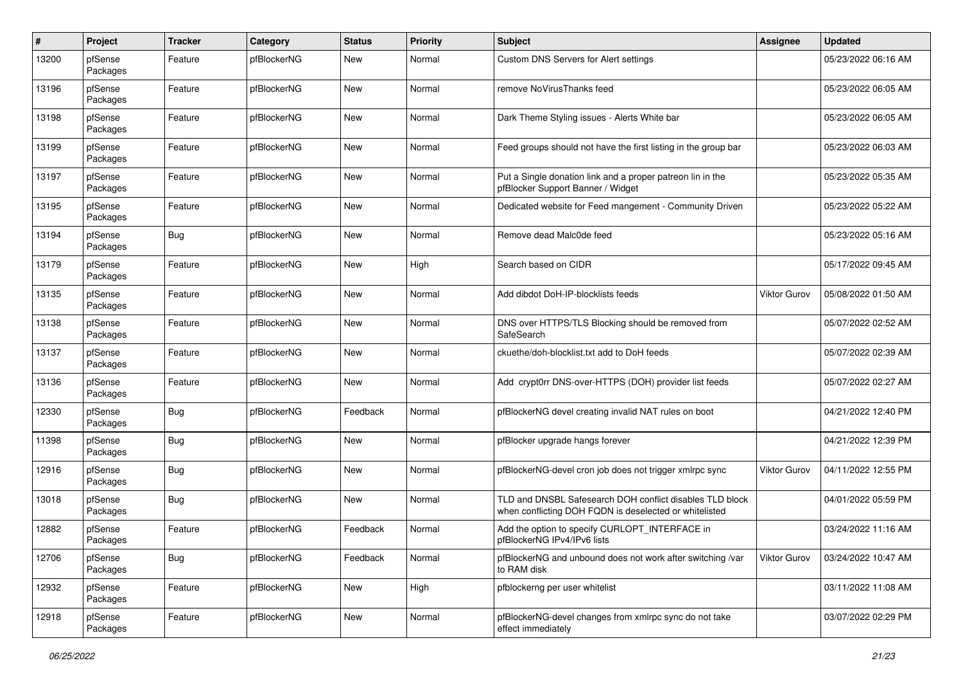| $\#$  | Project             | <b>Tracker</b> | Category    | <b>Status</b> | <b>Priority</b> | <b>Subject</b>                                                                                                     | <b>Assignee</b>     | <b>Updated</b>      |
|-------|---------------------|----------------|-------------|---------------|-----------------|--------------------------------------------------------------------------------------------------------------------|---------------------|---------------------|
| 13200 | pfSense<br>Packages | Feature        | pfBlockerNG | New           | Normal          | Custom DNS Servers for Alert settings                                                                              |                     | 05/23/2022 06:16 AM |
| 13196 | pfSense<br>Packages | Feature        | pfBlockerNG | New           | Normal          | remove NoVirusThanks feed                                                                                          |                     | 05/23/2022 06:05 AM |
| 13198 | pfSense<br>Packages | Feature        | pfBlockerNG | New           | Normal          | Dark Theme Styling issues - Alerts White bar                                                                       |                     | 05/23/2022 06:05 AM |
| 13199 | pfSense<br>Packages | Feature        | pfBlockerNG | New           | Normal          | Feed groups should not have the first listing in the group bar                                                     |                     | 05/23/2022 06:03 AM |
| 13197 | pfSense<br>Packages | Feature        | pfBlockerNG | New           | Normal          | Put a Single donation link and a proper patreon lin in the<br>pfBlocker Support Banner / Widget                    |                     | 05/23/2022 05:35 AM |
| 13195 | pfSense<br>Packages | Feature        | pfBlockerNG | New           | Normal          | Dedicated website for Feed mangement - Community Driven                                                            |                     | 05/23/2022 05:22 AM |
| 13194 | pfSense<br>Packages | Bug            | pfBlockerNG | <b>New</b>    | Normal          | Remove dead Malc0de feed                                                                                           |                     | 05/23/2022 05:16 AM |
| 13179 | pfSense<br>Packages | Feature        | pfBlockerNG | New           | High            | Search based on CIDR                                                                                               |                     | 05/17/2022 09:45 AM |
| 13135 | pfSense<br>Packages | Feature        | pfBlockerNG | <b>New</b>    | Normal          | Add dibdot DoH-IP-blocklists feeds                                                                                 | <b>Viktor Gurov</b> | 05/08/2022 01:50 AM |
| 13138 | pfSense<br>Packages | Feature        | pfBlockerNG | <b>New</b>    | Normal          | DNS over HTTPS/TLS Blocking should be removed from<br>SafeSearch                                                   |                     | 05/07/2022 02:52 AM |
| 13137 | pfSense<br>Packages | Feature        | pfBlockerNG | New           | Normal          | ckuethe/doh-blocklist.txt add to DoH feeds                                                                         |                     | 05/07/2022 02:39 AM |
| 13136 | pfSense<br>Packages | Feature        | pfBlockerNG | New           | Normal          | Add crypt0rr DNS-over-HTTPS (DOH) provider list feeds                                                              |                     | 05/07/2022 02:27 AM |
| 12330 | pfSense<br>Packages | Bug            | pfBlockerNG | Feedback      | Normal          | pfBlockerNG devel creating invalid NAT rules on boot                                                               |                     | 04/21/2022 12:40 PM |
| 11398 | pfSense<br>Packages | Bug            | pfBlockerNG | New           | Normal          | pfBlocker upgrade hangs forever                                                                                    |                     | 04/21/2022 12:39 PM |
| 12916 | pfSense<br>Packages | Bug            | pfBlockerNG | New           | Normal          | pfBlockerNG-devel cron job does not trigger xmlrpc sync                                                            | <b>Viktor Gurov</b> | 04/11/2022 12:55 PM |
| 13018 | pfSense<br>Packages | Bug            | pfBlockerNG | <b>New</b>    | Normal          | TLD and DNSBL Safesearch DOH conflict disables TLD block<br>when conflicting DOH FQDN is deselected or whitelisted |                     | 04/01/2022 05:59 PM |
| 12882 | pfSense<br>Packages | Feature        | pfBlockerNG | Feedback      | Normal          | Add the option to specify CURLOPT_INTERFACE in<br>pfBlockerNG IPv4/IPv6 lists                                      |                     | 03/24/2022 11:16 AM |
| 12706 | pfSense<br>Packages | <b>Bug</b>     | pfBlockerNG | Feedback      | Normal          | pfBlockerNG and unbound does not work after switching /var<br>to RAM disk                                          | Viktor Gurov        | 03/24/2022 10:47 AM |
| 12932 | pfSense<br>Packages | Feature        | pfBlockerNG | New           | High            | pfblockerng per user whitelist                                                                                     |                     | 03/11/2022 11:08 AM |
| 12918 | pfSense<br>Packages | Feature        | pfBlockerNG | New           | Normal          | pfBlockerNG-devel changes from xmlrpc sync do not take<br>effect immediately                                       |                     | 03/07/2022 02:29 PM |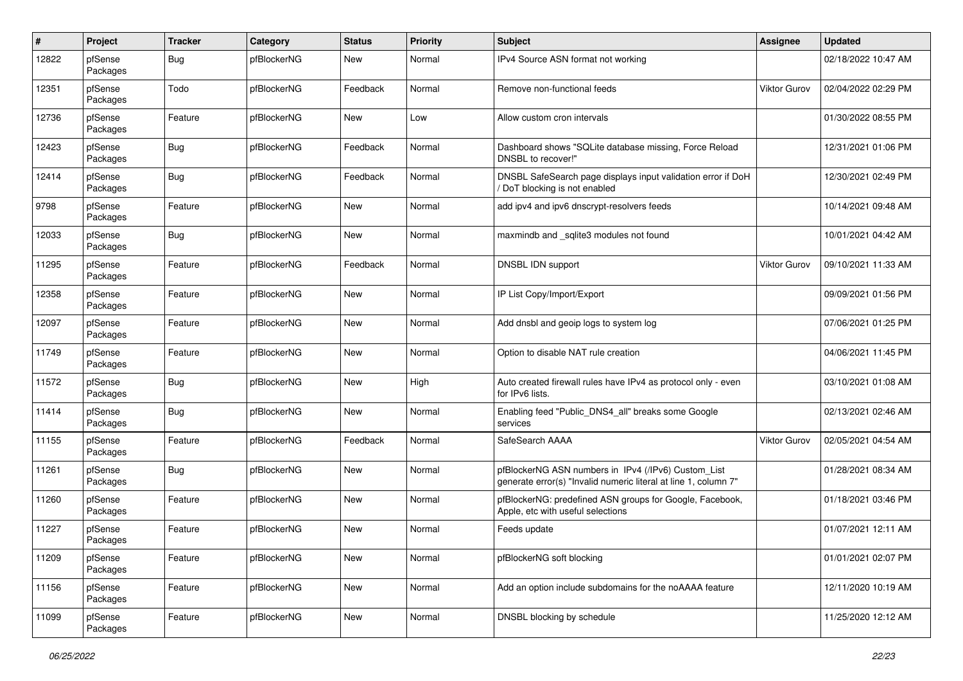| $\pmb{\#}$ | Project             | <b>Tracker</b> | Category    | <b>Status</b> | <b>Priority</b> | <b>Subject</b>                                                                                                         | <b>Assignee</b>     | <b>Updated</b>      |
|------------|---------------------|----------------|-------------|---------------|-----------------|------------------------------------------------------------------------------------------------------------------------|---------------------|---------------------|
| 12822      | pfSense<br>Packages | <b>Bug</b>     | pfBlockerNG | New           | Normal          | IPv4 Source ASN format not working                                                                                     |                     | 02/18/2022 10:47 AM |
| 12351      | pfSense<br>Packages | Todo           | pfBlockerNG | Feedback      | Normal          | Remove non-functional feeds                                                                                            | Viktor Gurov        | 02/04/2022 02:29 PM |
| 12736      | pfSense<br>Packages | Feature        | pfBlockerNG | <b>New</b>    | Low             | Allow custom cron intervals                                                                                            |                     | 01/30/2022 08:55 PM |
| 12423      | pfSense<br>Packages | <b>Bug</b>     | pfBlockerNG | Feedback      | Normal          | Dashboard shows "SQLite database missing, Force Reload<br>DNSBL to recover!"                                           |                     | 12/31/2021 01:06 PM |
| 12414      | pfSense<br>Packages | <b>Bug</b>     | pfBlockerNG | Feedback      | Normal          | DNSBL SafeSearch page displays input validation error if DoH<br>DoT blocking is not enabled                            |                     | 12/30/2021 02:49 PM |
| 9798       | pfSense<br>Packages | Feature        | pfBlockerNG | <b>New</b>    | Normal          | add ipv4 and ipv6 dnscrypt-resolvers feeds                                                                             |                     | 10/14/2021 09:48 AM |
| 12033      | pfSense<br>Packages | <b>Bug</b>     | pfBlockerNG | New           | Normal          | maxmindb and _sqlite3 modules not found                                                                                |                     | 10/01/2021 04:42 AM |
| 11295      | pfSense<br>Packages | Feature        | pfBlockerNG | Feedback      | Normal          | DNSBL IDN support                                                                                                      | <b>Viktor Gurov</b> | 09/10/2021 11:33 AM |
| 12358      | pfSense<br>Packages | Feature        | pfBlockerNG | <b>New</b>    | Normal          | IP List Copy/Import/Export                                                                                             |                     | 09/09/2021 01:56 PM |
| 12097      | pfSense<br>Packages | Feature        | pfBlockerNG | <b>New</b>    | Normal          | Add dnsbl and geoip logs to system log                                                                                 |                     | 07/06/2021 01:25 PM |
| 11749      | pfSense<br>Packages | Feature        | pfBlockerNG | <b>New</b>    | Normal          | Option to disable NAT rule creation                                                                                    |                     | 04/06/2021 11:45 PM |
| 11572      | pfSense<br>Packages | <b>Bug</b>     | pfBlockerNG | <b>New</b>    | High            | Auto created firewall rules have IPv4 as protocol only - even<br>for IPv6 lists.                                       |                     | 03/10/2021 01:08 AM |
| 11414      | pfSense<br>Packages | <b>Bug</b>     | pfBlockerNG | <b>New</b>    | Normal          | Enabling feed "Public DNS4 all" breaks some Google<br>services                                                         |                     | 02/13/2021 02:46 AM |
| 11155      | pfSense<br>Packages | Feature        | pfBlockerNG | Feedback      | Normal          | SafeSearch AAAA                                                                                                        | Viktor Gurov        | 02/05/2021 04:54 AM |
| 11261      | pfSense<br>Packages | <b>Bug</b>     | pfBlockerNG | <b>New</b>    | Normal          | pfBlockerNG ASN numbers in IPv4 (/IPv6) Custom_List<br>generate error(s) "Invalid numeric literal at line 1, column 7" |                     | 01/28/2021 08:34 AM |
| 11260      | pfSense<br>Packages | Feature        | pfBlockerNG | <b>New</b>    | Normal          | pfBlockerNG: predefined ASN groups for Google, Facebook,<br>Apple, etc with useful selections                          |                     | 01/18/2021 03:46 PM |
| 11227      | pfSense<br>Packages | Feature        | pfBlockerNG | <b>New</b>    | Normal          | Feeds update                                                                                                           |                     | 01/07/2021 12:11 AM |
| 11209      | pfSense<br>Packages | Feature        | pfBlockerNG | New           | Normal          | pfBlockerNG soft blocking                                                                                              |                     | 01/01/2021 02:07 PM |
| 11156      | pfSense<br>Packages | Feature        | pfBlockerNG | New           | Normal          | Add an option include subdomains for the noAAAA feature                                                                |                     | 12/11/2020 10:19 AM |
| 11099      | pfSense<br>Packages | Feature        | pfBlockerNG | New           | Normal          | DNSBL blocking by schedule                                                                                             |                     | 11/25/2020 12:12 AM |